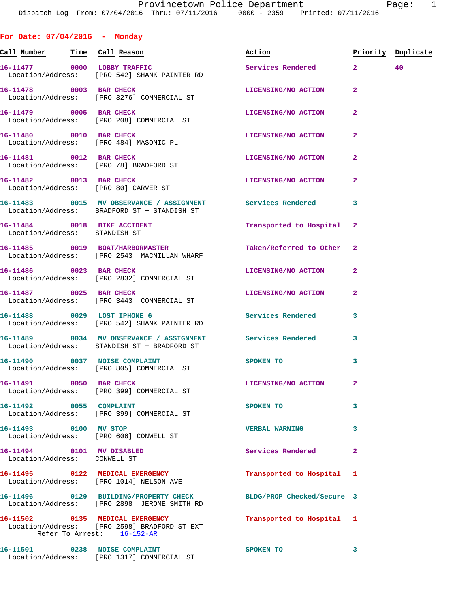**For Date: 07/04/2016 - Monday** Call Number **Time** Call Reason **Reason Burner** Action **Priority Duplicate 16-11477 0000 LOBBY TRAFFIC Services Rendered 2 40**  Location/Address: [PRO 542] SHANK PAINTER RD **16-11478** 0003 BAR CHECK LICENSING/NO ACTION 2 Location/Address: [PRO 3276] COMMERCIAL ST **16-11479 0005 BAR CHECK LICENSING/NO ACTION 2**  Location/Address: [PRO 208] COMMERCIAL ST **16-11480** 0010 BAR CHECK LICENSING/NO ACTION Location/Address: [PRO 484] MASONIC PL **16-11481 0012 BAR CHECK LICENSING/NO ACTION 2**  Location/Address: [PRO 78] BRADFORD ST **16-11482** 0013 BAR CHECK LICENSING/NO ACTION Location/Address: [PRO 80] CARVER ST **16-11483 0015 MV OBSERVANCE / ASSIGNMENT Services Rendered 3**  Location/Address: BRADFORD ST + STANDISH ST

 Location/Address: STANDISH ST **16-11485 0019 BOAT/HARBORMASTER Taken/Referred to Other 2**  Location/Address: [PRO 2543] MACMILLAN WHARF **16-11486 0023 BAR CHECK LICENSING/NO ACTION 2**  Location/Address: [PRO 2832] COMMERCIAL ST **16-11487 0025 BAR CHECK LICENSING/NO ACTION 2**  Location/Address: [PRO 3443] COMMERCIAL ST

**16-11488 0029 LOST IPHONE 6 Services Rendered 3**  Location/Address: [PRO 542] SHANK PAINTER RD

**16-11489 0034 MV OBSERVANCE / ASSIGNMENT Services Rendered 3**  Location/Address: STANDISH ST + BRADFORD ST

**16-11490** 0037 NOISE COMPLAINT SPOKEN TO 3 Location/Address: [PRO 805] COMMERCIAL ST

**16-11491 0050 BAR CHECK LICENSING/NO ACTION 2**  Location/Address: [PRO 399] COMMERCIAL ST

**16-11492 0055 COMPLAINT SPOKEN TO 3**  Location/Address: [PRO 399] COMMERCIAL ST

**16-11493 0100 MV STOP VERBAL WARNING 3**  Location/Address: [PRO 606] CONWELL ST

**16-11494 0101 MV DISABLED Services Rendered 2**  Location/Address: CONWELL ST

Location/Address: [PRO 2898] JEROME SMITH RD

**16-11502 0135 MEDICAL EMERGENCY Transported to Hospital 1**  Refer To Arrest: 16-152-AR

Location/Address: [PRO 1317] COMMERCIAL ST

**16-11484 0018 BIKE ACCIDENT Transported to Hospital 2** 

**16-11495 0122 MEDICAL EMERGENCY Transported to Hospital 1**  Location/Address: [PRO 1014] NELSON AVE

**16-11496 0129 BUILDING/PROPERTY CHECK BLDG/PROP Checked/Secure 3** 

Location/Address: [PRO 2598] BRADFORD ST EXT

16-11501 0238 NOISE COMPLAINT SPOKEN TO 3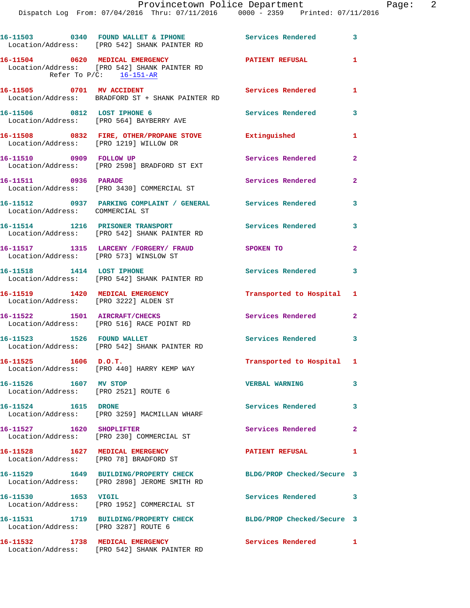|                                                                          | 16-11503 0340 FOUND WALLET & IPHONE<br>Location/Address: [PRO 542] SHANK PAINTER RD                           | Services Rendered          | 3                       |
|--------------------------------------------------------------------------|---------------------------------------------------------------------------------------------------------------|----------------------------|-------------------------|
|                                                                          | 16-11504 0620 MEDICAL EMERGENCY<br>Location/Address: [PRO 542] SHANK PAINTER RD<br>Refer To $P/C$ : 16-151-AR | <b>PATIENT REFUSAL</b>     | 1                       |
| 16-11505 0701 MV ACCIDENT                                                | Location/Address: BRADFORD ST + SHANK PAINTER RD                                                              | Services Rendered          | 1                       |
|                                                                          | 16-11506 0812 LOST IPHONE 6<br>Location/Address: [PRO 564] BAYBERRY AVE                                       | <b>Services Rendered</b>   | 3                       |
| Location/Address: [PRO 1219] WILLOW DR                                   | 16-11508 0832 FIRE, OTHER/PROPANE STOVE Extinguished                                                          |                            | 1                       |
| 16-11510 0909 FOLLOW UP                                                  | Location/Address: [PRO 2598] BRADFORD ST EXT                                                                  | Services Rendered          | $\mathbf{2}$            |
| 16-11511 0936 PARADE                                                     | Location/Address: [PRO 3430] COMMERCIAL ST                                                                    | Services Rendered          | $\overline{2}$          |
| Location/Address: COMMERCIAL ST                                          | 16-11512 0937 PARKING COMPLAINT / GENERAL Services Rendered                                                   |                            | 3                       |
|                                                                          | 16-11514 1216 PRISONER TRANSPORT<br>Location/Address: [PRO 542] SHANK PAINTER RD                              | Services Rendered 3        |                         |
| Location/Address: [PRO 573] WINSLOW ST                                   | 16-11517 1315 LARCENY /FORGERY/ FRAUD SPOKEN TO                                                               |                            | $\overline{2}$          |
| 16-11518 1414 LOST IPHONE                                                | Location/Address: [PRO 542] SHANK PAINTER RD                                                                  | Services Rendered 3        |                         |
| 16-11519 1420 MEDICAL EMERGENCY<br>Location/Address: [PRO 3222] ALDEN ST |                                                                                                               | Transported to Hospital 1  |                         |
| 16-11522 1501 AIRCRAFT/CHECKS                                            | Location/Address: [PRO 516] RACE POINT RD                                                                     | Services Rendered          | $\mathbf{2}$            |
|                                                                          | 16-11523 1526 FOUND WALLET<br>Location/Address: [PRO 542] SHANK PAINTER RD                                    | Services Rendered 3        |                         |
| $16-11525$ 1606 D.O.T.                                                   | Location/Address: [PRO 440] HARRY KEMP WAY                                                                    | Transported to Hospital 1  |                         |
| 16-11526 1607 MV STOP<br>Location/Address: [PRO 2521] ROUTE 6            |                                                                                                               | <b>VERBAL WARNING</b>      | 3                       |
| 16-11524 1615 DRONE                                                      | Location/Address: [PRO 3259] MACMILLAN WHARF                                                                  | Services Rendered          | $\overline{\mathbf{3}}$ |
| 16-11527 1620 SHOPLIFTER                                                 | Location/Address: [PRO 230] COMMERCIAL ST                                                                     | Services Rendered          | $\mathbf{2}$            |
| 16-11528 1627 MEDICAL EMERGENCY                                          | Location/Address: [PRO 78] BRADFORD ST                                                                        | <b>PATIENT REFUSAL</b>     | 1                       |
|                                                                          | 16-11529 1649 BUILDING/PROPERTY CHECK<br>Location/Address: [PRO 2898] JEROME SMITH RD                         | BLDG/PROP Checked/Secure 3 |                         |
| 16-11530 1653 VIGIL                                                      | Location/Address: [PRO 1952] COMMERCIAL ST                                                                    | Services Rendered 3        |                         |
|                                                                          | 16-11531 1719 BUILDING/PROPERTY CHECK<br>Location/Address: [PRO 3287] ROUTE 6                                 | BLDG/PROP Checked/Secure 3 |                         |
| 16-11532 1738 MEDICAL EMERGENCY                                          | Location/Address: [PRO 542] SHANK PAINTER RD                                                                  | Services Rendered          | 1                       |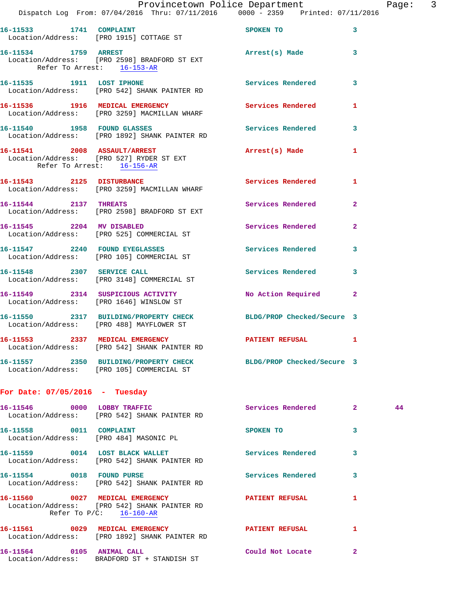|                                  | Dispatch Log From: 07/04/2016 Thru: 07/11/2016 0000 - 2359 Printed: 07/11/2016                                | Provincetown Police Department |              | Page: 3 |  |
|----------------------------------|---------------------------------------------------------------------------------------------------------------|--------------------------------|--------------|---------|--|
|                                  | 16-11533 1741 COMPLAINT<br>Location/Address: [PRO 1915] COTTAGE ST                                            | SPOKEN TO                      | 3            |         |  |
| 16-11534 1759 ARREST             | Location/Address: [PRO 2598] BRADFORD ST EXT<br>Refer To Arrest: 16-153-AR                                    | Arrest(s) Made 3               |              |         |  |
|                                  | 16-11535 1911 LOST IPHONE<br>Location/Address: [PRO 542] SHANK PAINTER RD                                     | Services Rendered 3            |              |         |  |
|                                  | 16-11536 1916 MEDICAL EMERGENCY<br>Location/Address: [PRO 3259] MACMILLAN WHARF                               | Services Rendered 1            |              |         |  |
| 16-11540 1958 FOUND GLASSES      | Location/Address: [PRO 1892] SHANK PAINTER RD                                                                 | Services Rendered 3            |              |         |  |
| Refer To Arrest: 16-156-AR       | 16-11541 2008 ASSAULT/ARREST<br>Location/Address: [PRO 527] RYDER ST EXT                                      | Arrest(s) Made                 | $\mathbf{1}$ |         |  |
|                                  | 16-11543 2125 DISTURBANCE<br>Location/Address: [PRO 3259] MACMILLAN WHARF                                     | Services Rendered 1            |              |         |  |
| 16-11544 2137 THREATS            | Location/Address: [PRO 2598] BRADFORD ST EXT                                                                  | Services Rendered 2            |              |         |  |
|                                  | 16-11545 2204 MV DISABLED<br>Location/Address: [PRO 525] COMMERCIAL ST                                        | Services Rendered 2            |              |         |  |
|                                  | 16-11547 2240 FOUND EYEGLASSES<br>Location/Address: [PRO 105] COMMERCIAL ST                                   | <b>Services Rendered</b>       | $\mathbf{3}$ |         |  |
| 16-11548 2307 SERVICE CALL       | Location/Address: [PRO 3148] COMMERCIAL ST                                                                    | Services Rendered 3            |              |         |  |
|                                  | 16-11549 2314 SUSPICIOUS ACTIVITY<br>Location/Address: [PRO 1646] WINSLOW ST                                  | No Action Required 2           |              |         |  |
|                                  | 16-11550 2317 BUILDING/PROPERTY CHECK BLDG/PROP Checked/Secure 3<br>Location/Address: [PRO 488] MAYFLOWER ST  |                                |              |         |  |
|                                  | 16-11553 2337 MEDICAL EMERGENCY<br>Location/Address: [PRO 542] SHANK PAINTER RD                               | <b>PATIENT REFUSAL</b>         | 1            |         |  |
|                                  | 16-11557 2350 BUILDING/PROPERTY CHECK BLDG/PROP Checked/Secure 3<br>Location/Address: [PRO 105] COMMERCIAL ST |                                |              |         |  |
| For Date: $07/05/2016$ - Tuesday |                                                                                                               |                                |              |         |  |
| 16-11546 0000 LOBBY TRAFFIC      | Location/Address: [PRO 542] SHANK PAINTER RD                                                                  | Services Rendered 2            |              | 44      |  |
| 16-11558 0011 COMPLAINT          | Location/Address: [PRO 484] MASONIC PL                                                                        | SPOKEN TO                      | 3            |         |  |
|                                  | 16-11559 0014 LOST BLACK WALLET<br>Location/Address: [PRO 542] SHANK PAINTER RD                               | <b>Services Rendered</b>       | 3            |         |  |
|                                  | 16-11554 0018 FOUND PURSE<br>Location/Address: [PRO 542] SHANK PAINTER RD                                     | Services Rendered              | 3            |         |  |
|                                  | 16-11560 0027 MEDICAL EMERGENCY<br>Location/Address: [PRO 542] SHANK PAINTER RD<br>Refer To $P/C$ : 16-160-AR | <b>PATIENT REFUSAL</b>         | $\mathbf{1}$ |         |  |
|                                  |                                                                                                               |                                |              |         |  |

 Location/Address: [PRO 1892] SHANK PAINTER RD **16-11564 0105 ANIMAL CALL Could Not Locate 2** 

Location/Address: BRADFORD ST + STANDISH ST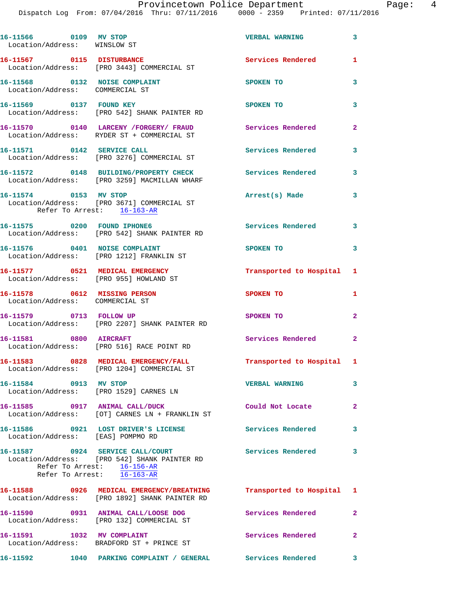Dispatch Log From: 07/04/2016 Thru: 07/11/2016 0000 - 2359 Printed: 07/11/2016

| 16-11566 0109 MV STOP<br>Location/Address: WINSLOW ST            |                                                                                                                                    | <b>VERBAL WARNING</b>     | $\overline{\mathbf{3}}$ |
|------------------------------------------------------------------|------------------------------------------------------------------------------------------------------------------------------------|---------------------------|-------------------------|
| 16-11567 0115 DISTURBANCE                                        | Location/Address: [PRO 3443] COMMERCIAL ST                                                                                         | Services Rendered         | $\mathbf{1}$            |
| 16-11568 0132 NOISE COMPLAINT<br>Location/Address: COMMERCIAL ST |                                                                                                                                    | SPOKEN TO                 | 3                       |
| 16-11569 0137 FOUND KEY                                          | Location/Address: [PRO 542] SHANK PAINTER RD                                                                                       | SPOKEN TO                 | 3                       |
|                                                                  | 16-11570  0140 LARCENY / FORGERY / FRAUD<br>Location/Address: RYDER ST + COMMERCIAL ST                                             | Services Rendered         | $\mathbf{2}$            |
| 16-11571 0142 SERVICE CALL                                       | Location/Address: [PRO 3276] COMMERCIAL ST                                                                                         | <b>Services Rendered</b>  | 3                       |
|                                                                  | 16-11572 0148 BUILDING/PROPERTY CHECK<br>Location/Address: [PRO 3259] MACMILLAN WHARF                                              | Services Rendered         | 3                       |
| 16-11574 0153 MV STOP<br>Refer To Arrest: 16-163-AR              | Location/Address: [PRO 3671] COMMERCIAL ST                                                                                         | Arrest(s) Made            | 3                       |
| 16-11575 0200 FOUND IPHONE6                                      | Location/Address: [PRO 542] SHANK PAINTER RD                                                                                       | Services Rendered 3       |                         |
| 16-11576 0401 NOISE COMPLAINT                                    | Location/Address: [PRO 1212] FRANKLIN ST                                                                                           | SPOKEN TO                 | 3                       |
| Location/Address: [PRO 955] HOWLAND ST                           | 16-11577 0521 MEDICAL EMERGENCY                                                                                                    | Transported to Hospital 1 |                         |
| 16-11578 0612 MISSING PERSON<br>Location/Address: COMMERCIAL ST  |                                                                                                                                    | SPOKEN TO                 | 1                       |
| 16-11579 0713 FOLLOW UP                                          | Location/Address: [PRO 2207] SHANK PAINTER RD                                                                                      | SPOKEN TO                 | $\overline{2}$          |
| 16-11581 0800 AIRCRAFT                                           | Location/Address: [PRO 516] RACE POINT RD                                                                                          | Services Rendered         | $\mathbf{2}$            |
|                                                                  | 16-11583 0828 MEDICAL EMERGENCY/FALL<br>Location/Address: [PRO 1204] COMMERCIAL ST                                                 | Transported to Hospital 1 |                         |
| 16-11584 0913 MV STOP                                            | Location/Address: [PRO 1529] CARNES LN                                                                                             | <b>VERBAL WARNING</b>     | $\overline{\mathbf{3}}$ |
|                                                                  | 16-11585 0917 ANIMAL CALL/DUCK<br>Location/Address: [OT] CARNES LN + FRANKLIN ST                                                   | Could Not Locate          | $\overline{2}$          |
| Location/Address: [EAS] POMPMO RD                                | 16-11586 0921 LOST DRIVER'S LICENSE Services Rendered 3                                                                            |                           |                         |
|                                                                  | 16-11587 0924 SERVICE CALL/COURT<br>Location/Address: [PRO 542] SHANK PAINTER RD<br>Refer To Arrest: $\frac{16-156-AR}{16-163-AR}$ | Services Rendered 3       |                         |
|                                                                  | 16-11588 0926 MEDICAL EMERGENCY/BREATHING Transported to Hospital 1<br>Location/Address: [PRO 1892] SHANK PAINTER RD               |                           |                         |
|                                                                  | 16-11590 0931 ANIMAL CALL/LOOSE DOG<br>Location/Address: [PRO 132] COMMERCIAL ST                                                   | Services Rendered 2       |                         |
|                                                                  | 16-11591 1032 MV COMPLAINT<br>Location/Address: BRADFORD ST + PRINCE ST                                                            | <b>Services Rendered</b>  | $\mathbf{2}$            |
|                                                                  | 16-11592 1040 PARKING COMPLAINT / GENERAL Services Rendered 3                                                                      |                           |                         |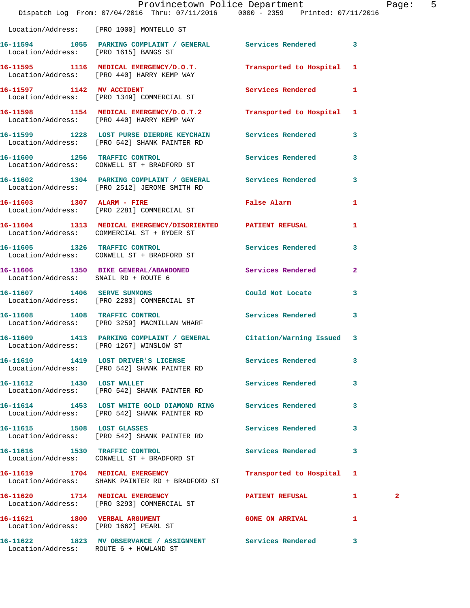|                                       | Dispatch Log From: 07/04/2016 Thru: 07/11/2016 0000 - 2359 Printed: 07/11/2016                                 | Provincetown Police Department |                | Page:        | 5 |
|---------------------------------------|----------------------------------------------------------------------------------------------------------------|--------------------------------|----------------|--------------|---|
|                                       | Location/Address: [PRO 1000] MONTELLO ST                                                                       |                                |                |              |   |
| Location/Address: [PRO 1615] BANGS ST | 16-11594 1055 PARKING COMPLAINT / GENERAL Services Rendered 3                                                  |                                |                |              |   |
|                                       | 16-11595 1116 MEDICAL EMERGENCY/D.O.T.<br>Location/Address: [PRO 440] HARRY KEMP WAY                           | Transported to Hospital 1      |                |              |   |
| 16-11597 1142 MV ACCIDENT             | Location/Address: [PRO 1349] COMMERCIAL ST                                                                     | Services Rendered 1            |                |              |   |
|                                       | 16-11598 1154 MEDICAL EMERGENCY/D.O.T.2<br>Location/Address: [PRO 440] HARRY KEMP WAY                          | Transported to Hospital 1      |                |              |   |
|                                       | 16-11599 1228 LOST PURSE DIERDRE KEYCHAIN Services Rendered 3<br>Location/Address: [PRO 542] SHANK PAINTER RD  |                                |                |              |   |
|                                       | 16-11600 1256 TRAFFIC CONTROL<br>Location/Address: CONWELL ST + BRADFORD ST                                    | Services Rendered              | 3              |              |   |
|                                       | 16-11602 1304 PARKING COMPLAINT / GENERAL Services Rendered<br>Location/Address: [PRO 2512] JEROME SMITH RD    |                                | $\mathbf{3}$   |              |   |
|                                       | 16-11603 1307 ALARM - FIRE<br>Location/Address: [PRO 2281] COMMERCIAL ST                                       | False Alarm                    | 1              |              |   |
|                                       | 16-11604 1313 MEDICAL EMERGENCY/DISORIENTED PATIENT REFUSAL<br>Location/Address: COMMERCIAL ST + RYDER ST      |                                | 1              |              |   |
|                                       | 16-11605 1326 TRAFFIC CONTROL<br>Location/Address: CONWELL ST + BRADFORD ST                                    | <b>Services Rendered</b>       | 3              |              |   |
| Location/Address: SNAIL RD + ROUTE 6  | 16-11606 1350 BIKE GENERAL/ABANDONED Services Rendered                                                         |                                | $\overline{a}$ |              |   |
|                                       | 16-11607 1406 SERVE SUMMONS<br>Location/Address: [PRO 2283] COMMERCIAL ST                                      | Could Not Locate               | 3              |              |   |
|                                       | 16-11608 1408 TRAFFIC CONTROL<br>Location/Address: [PRO 3259] MACMILLAN WHARF                                  | <b>Services Rendered</b>       | 3              |              |   |
|                                       | 16-11609 1413 PARKING COMPLAINT / GENERAL Citation/Warning Issued 3<br>Location/Address: [PRO 1267] WINSLOW ST |                                |                |              |   |
|                                       | 16-11610 1419 LOST DRIVER'S LICENSE Services Rendered<br>Location/Address: [PRO 542] SHANK PAINTER RD          |                                | 3              |              |   |
| 16-11612 1430 LOST WALLET             | Location/Address: [PRO 542] SHANK PAINTER RD                                                                   | Services Rendered              | 3              |              |   |
|                                       | 16-11614 1453 LOST WHITE GOLD DIAMOND RING Services Rendered 3<br>Location/Address: [PRO 542] SHANK PAINTER RD |                                |                |              |   |
|                                       | 16-11615 1508 LOST GLASSES<br>Location/Address: [PRO 542] SHANK PAINTER RD                                     | Services Rendered              | 3              |              |   |
|                                       | 16-11616 1530 TRAFFIC CONTROL<br>Location/Address: CONWELL ST + BRADFORD ST                                    | Services Rendered              | 3              |              |   |
|                                       | 16-11619 1704 MEDICAL EMERGENCY<br>Location/Address: SHANK PAINTER RD + BRADFORD ST                            | Transported to Hospital 1      |                |              |   |
|                                       | 16-11620 1714 MEDICAL EMERGENCY<br>Location/Address: [PRO 3293] COMMERCIAL ST                                  | PATIENT REFUSAL                | $\mathbf{1}$   | $\mathbf{2}$ |   |
|                                       | 16-11621 1800 VERBAL ARGUMENT<br>Location/Address: [PRO 1662] PEARL ST                                         | GONE ON ARRIVAL 1              |                |              |   |
|                                       | 16-11622 1823 MV OBSERVANCE / ASSIGNMENT Services Rendered 3                                                   |                                |                |              |   |

Location/Address: ROUTE 6 + HOWLAND ST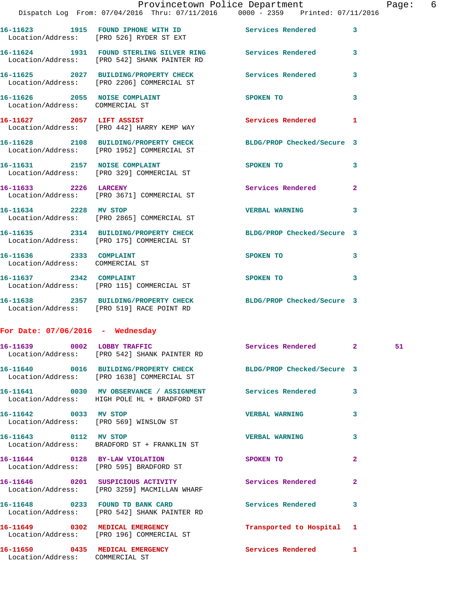|                                                            |                                                                                                                | Provincetown Police Department                                                                                                                                                                                                 |                               | Page: | -6 |
|------------------------------------------------------------|----------------------------------------------------------------------------------------------------------------|--------------------------------------------------------------------------------------------------------------------------------------------------------------------------------------------------------------------------------|-------------------------------|-------|----|
|                                                            | Dispatch Log From: 07/04/2016 Thru: 07/11/2016 0000 - 2359 Printed: 07/11/2016                                 |                                                                                                                                                                                                                                |                               |       |    |
|                                                            | 16-11623 1915 FOUND IPHONE WITH ID Services Rendered 3<br>Location/Address: [PRO 526] RYDER ST EXT             |                                                                                                                                                                                                                                |                               |       |    |
|                                                            | 16-11624 1931 FOUND STERLING SILVER RING Services Rendered 3<br>Location/Address: [PRO 542] SHANK PAINTER RD   |                                                                                                                                                                                                                                |                               |       |    |
|                                                            | 16-11625 2027 BUILDING/PROPERTY CHECK Services Rendered 3<br>Location/Address: [PRO 2206] COMMERCIAL ST        |                                                                                                                                                                                                                                |                               |       |    |
| Location/Address: COMMERCIAL ST                            | 16-11626 2055 NOISE COMPLAINT SPOKEN TO                                                                        |                                                                                                                                                                                                                                | 3                             |       |    |
|                                                            | 16-11627 2057 LIFT ASSIST<br>Location/Address: [PRO 442] HARRY KEMP WAY                                        | Services Rendered 1                                                                                                                                                                                                            |                               |       |    |
|                                                            | 16-11628 2108 BUILDING/PROPERTY CHECK BLDG/PROP Checked/Secure 3<br>Location/Address: [PRO 1952] COMMERCIAL ST |                                                                                                                                                                                                                                |                               |       |    |
|                                                            | 16-11631 2157 NOISE COMPLAINT<br>Location/Address: [PRO 329] COMMERCIAL ST                                     | SPOKEN TO AND TO A RESIDENCE OF A RESIDENCE OF A RESIDENCE OF A RESIDENCE OF A RESIDENCE OF A RESIDENCE OF A RESIDENCE OF A RESIDENCE OF A RESIDENCE OF A RESIDENCE OF A RESIDENCE OF A RESIDENCE OF A RESIDENCE OF A RESIDENC | 3                             |       |    |
| 16-11633 2226 LARCENY                                      | Location/Address: [PRO 3671] COMMERCIAL ST                                                                     | Services Rendered 2                                                                                                                                                                                                            |                               |       |    |
|                                                            | 16-11634 2228 MV STOP<br>Location/Address: [PRO 2865] COMMERCIAL ST                                            | VERBAL WARNING 3                                                                                                                                                                                                               |                               |       |    |
|                                                            | 16-11635 2314 BUILDING/PROPERTY CHECK BLDG/PROP Checked/Secure 3<br>Location/Address: [PRO 175] COMMERCIAL ST  |                                                                                                                                                                                                                                |                               |       |    |
| 16-11636 2333 COMPLAINT<br>Location/Address: COMMERCIAL ST |                                                                                                                | SPOKEN TO AND TO A REAL PROPERTY.                                                                                                                                                                                              | 3                             |       |    |
|                                                            | 16-11637 2342 COMPLAINT<br>Location/Address: [PRO 115] COMMERCIAL ST                                           | SPOKEN TO                                                                                                                                                                                                                      | 3                             |       |    |
|                                                            | 16-11638 2357 BUILDING/PROPERTY CHECK BLDG/PROP Checked/Secure 3<br>Location/Address: [PRO 519] RACE POINT RD  |                                                                                                                                                                                                                                |                               |       |    |
| For Date: $07/06/2016$ - Wednesday                         |                                                                                                                |                                                                                                                                                                                                                                |                               |       |    |
|                                                            | Location/Address: [PRO 542] SHANK PAINTER RD                                                                   | Services Rendered                                                                                                                                                                                                              | $\mathbf{2}$ and $\mathbf{2}$ | 51    |    |
|                                                            | 16-11640 0016 BUILDING/PROPERTY CHECK<br>Location/Address: [PRO 1638] COMMERCIAL ST                            | BLDG/PROP Checked/Secure 3                                                                                                                                                                                                     |                               |       |    |
|                                                            | 16-11641 0030 MV OBSERVANCE / ASSIGNMENT<br>Location/Address: HIGH POLE HL + BRADFORD ST                       | Services Rendered                                                                                                                                                                                                              | 3                             |       |    |
| 16-11642 0033 MV STOP                                      | Location/Address: [PRO 569] WINSLOW ST                                                                         | <b>VERBAL WARNING</b>                                                                                                                                                                                                          | 3                             |       |    |

Location/Address: BRADFORD ST + FRANKLIN ST

Location/Address: [PRO 595] BRADFORD ST

Location/Address: [PRO 3259] MACMILLAN WHARF

Location/Address: [PRO 542] SHANK PAINTER RD

Location/Address: [PRO 196] COMMERCIAL ST

Location/Address: COMMERCIAL ST

**16-11650 0435 MEDICAL EMERGENCY Services Rendered 1** 

**16-11643 0112 MV STOP VERBAL WARNING 3 16-11644 0128 BY-LAW VIOLATION SPOKEN TO 2 16-11646 0201 SUSPICIOUS ACTIVITY Services Rendered 2 16-11648 0233 FOUND TD BANK CARD Services Rendered 3 16-11649 0302 MEDICAL EMERGENCY Transported to Hospital 1**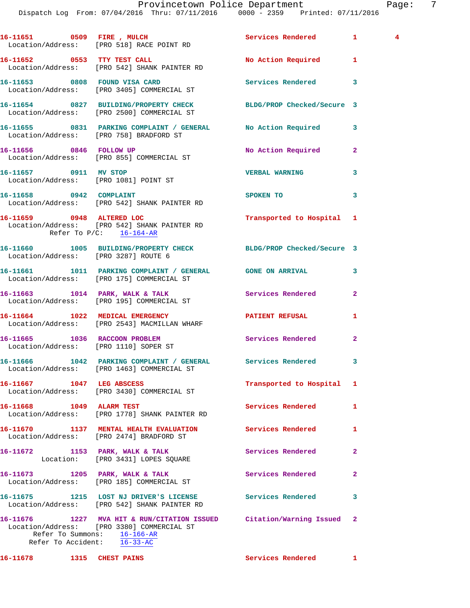|                                       | 16-11651 0509 FIRE, MULCH<br>Location/Address: [PRO 518] RACE POINT RD                                                                           | Services Rendered          | $\mathbf{1}$   | 4 |
|---------------------------------------|--------------------------------------------------------------------------------------------------------------------------------------------------|----------------------------|----------------|---|
|                                       | 16-11652 0553 TTY TEST CALL<br>Location/Address: [PRO 542] SHANK PAINTER RD                                                                      | No Action Required         | 1              |   |
|                                       | 16-11653 0808 FOUND VISA CARD<br>Location/Address: [PRO 3405] COMMERCIAL ST                                                                      | <b>Services Rendered</b>   | 3              |   |
|                                       | 16-11654 0827 BUILDING/PROPERTY CHECK<br>Location/Address: [PRO 2500] COMMERCIAL ST                                                              | BLDG/PROP Checked/Secure 3 |                |   |
|                                       | 16-11655 0831 PARKING COMPLAINT / GENERAL<br>Location/Address: [PRO 758] BRADFORD ST                                                             | No Action Required         | 3              |   |
|                                       | 16-11656 0846 FOLLOW UP<br>Location/Address: [PRO 855] COMMERCIAL ST                                                                             | No Action Required         | $\overline{2}$ |   |
| 16-11657 0911 MV STOP                 | Location/Address: [PRO 1081] POINT ST                                                                                                            | <b>VERBAL WARNING</b>      | 3              |   |
| 16-11658 0942 COMPLAINT               | Location/Address: [PRO 542] SHANK PAINTER RD                                                                                                     | SPOKEN TO                  | 3              |   |
|                                       | 16-11659 0948 ALTERED LOC<br>Location/Address: [PRO 542] SHANK PAINTER RD<br>Refer To $P/C$ : $16-164-AR$                                        | Transported to Hospital 1  |                |   |
| Location/Address: [PRO 3287] ROUTE 6  | 16-11660 1005 BUILDING/PROPERTY CHECK BLDG/PROP Checked/Secure 3                                                                                 |                            |                |   |
|                                       | 16-11661 1011 PARKING COMPLAINT / GENERAL GONE ON ARRIVAL<br>Location/Address: [PRO 175] COMMERCIAL ST                                           |                            | 3              |   |
|                                       | 16-11663 1014 PARK, WALK & TALK<br>Location/Address: [PRO 195] COMMERCIAL ST                                                                     | Services Rendered          | 2              |   |
|                                       | 16-11664 1022 MEDICAL EMERGENCY<br>Location/Address: [PRO 2543] MACMILLAN WHARF                                                                  | PATIENT REFUSAL            | 1              |   |
| Location/Address: [PRO 1110] SOPER ST | 16-11665 1036 RACCOON PROBLEM                                                                                                                    | Services Rendered          | $\mathbf{2}$   |   |
|                                       | 16-11666 1042 PARKING COMPLAINT / GENERAL<br>Location/Address: [PRO 1463] COMMERCIAL ST                                                          | Services Rendered          | 3              |   |
|                                       | 16-11667 1047 LEG ABSCESS<br>Location/Address: [PRO 3430] COMMERCIAL ST                                                                          | Transported to Hospital    | 1              |   |
| 16-11668 1049 ALARM TEST              | Location/Address: [PRO 1778] SHANK PAINTER RD                                                                                                    | <b>Services Rendered</b>   | 1              |   |
|                                       | 16-11670 1137 MENTAL HEALTH EVALUATION<br>Location/Address: [PRO 2474] BRADFORD ST                                                               | <b>Services Rendered</b>   | 1              |   |
|                                       | 16-11672 1153 PARK, WALK & TALK<br>Location: [PRO 3431] LOPES SQUARE                                                                             | Services Rendered          | 2              |   |
|                                       | 16-11673 1205 PARK, WALK & TALK<br>Location/Address: [PRO 185] COMMERCIAL ST                                                                     | Services Rendered          | 2              |   |
|                                       | 16-11675 1215 LOST NJ DRIVER'S LICENSE<br>Location/Address: [PRO 542] SHANK PAINTER RD                                                           | <b>Services Rendered</b>   | 3              |   |
| Refer To Accident: 16-33-AC           | 16-11676 1227 MVA HIT & RUN/CITATION ISSUED Citation/Warning Issued<br>Location/Address: [PRO 3380] COMMERCIAL ST<br>Refer To Summons: 16-166-AR |                            | 2              |   |
| 16-11678 1315 CHEST PAINS             |                                                                                                                                                  | Services Rendered 1        |                |   |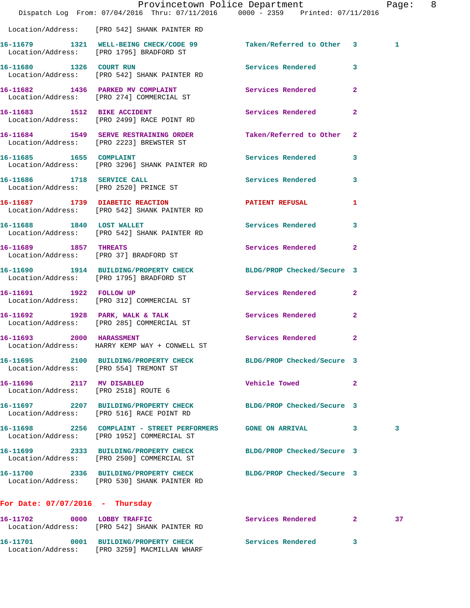|                                                                   |                                                                                                                  | Provincetown Police Department                 | Page: 8 |
|-------------------------------------------------------------------|------------------------------------------------------------------------------------------------------------------|------------------------------------------------|---------|
|                                                                   | Dispatch Log From: 07/04/2016 Thru: 07/11/2016 0000 - 2359 Printed: 07/11/2016                                   |                                                |         |
|                                                                   | Location/Address: [PRO 542] SHANK PAINTER RD                                                                     |                                                |         |
|                                                                   | 16-11679 1321 WELL-BEING CHECK/CODE 99 Taken/Referred to Other 3<br>Location/Address: [PRO 1795] BRADFORD ST     |                                                | 1       |
|                                                                   | 16-11680 1326 COURT RUN<br>Location/Address: [PRO 542] SHANK PAINTER RD                                          | Services Rendered 3                            |         |
|                                                                   | 16-11682 1436 PARKED MV COMPLAINT Services Rendered 2<br>Location/Address: [PRO 274] COMMERCIAL ST               |                                                |         |
|                                                                   | 16-11683 1512 BIKE ACCIDENT<br>Location/Address: [PRO 2499] RACE POINT RD                                        | Services Rendered<br>$\mathbf{2}$              |         |
|                                                                   | 16-11684 1549 SERVE RESTRAINING ORDER<br>Location/Address: [PRO 2223] BREWSTER ST                                | Taken/Referred to Other 2                      |         |
|                                                                   | 16-11685   1655   COMPLAINT<br>Location/Address: [PRO 3296] SHANK PAINTER RD                                     | Services Rendered 3                            |         |
|                                                                   | 16-11686 1718 SERVICE CALL<br>Location/Address: [PRO 2520] PRINCE ST                                             | Services Rendered 3                            |         |
|                                                                   | 16-11687 1739 DIABETIC REACTION<br>Location/Address: [PRO 542] SHANK PAINTER RD                                  | <b>PATIENT REFUSAL</b><br>1                    |         |
|                                                                   | 16-11688 1840 LOST WALLET<br>Location/Address: [PRO 542] SHANK PAINTER RD                                        | Services Rendered 3                            |         |
| 16-11689 1857 THREATS                                             | Location/Address: [PRO 37] BRADFORD ST                                                                           | Services Rendered 2                            |         |
|                                                                   | 16-11690 1914 BUILDING/PROPERTY CHECK BLDG/PROP Checked/Secure 3<br>Location/Address: [PRO 1795] BRADFORD ST     |                                                |         |
| 16-11691 1922 FOLLOW UP                                           | Location/Address: [PRO 312] COMMERCIAL ST                                                                        | Services Rendered 2                            |         |
|                                                                   | 16-11692 1928 PARK, WALK & TALK<br>Location/Address: [PRO 285] COMMERCIAL ST                                     | Services Rendered<br>$\mathbf{2}$              |         |
| 16-11693 2000 HARASSMENT                                          | Location/Address: HARRY KEMP WAY + CONWELL ST                                                                    | Services Rendered 2                            |         |
| Location/Address: [PRO 554] TREMONT ST                            | 16-11695 2100 BUILDING/PROPERTY CHECK BLDG/PROP Checked/Secure 3                                                 |                                                |         |
| 16-11696 2117 MV DISABLED<br>Location/Address: [PRO 2518] ROUTE 6 |                                                                                                                  | Vehicle Towed <b>Seat 1996</b><br>$\mathbf{2}$ |         |
|                                                                   | 16-11697 2207 BUILDING/PROPERTY CHECK BLDG/PROP Checked/Secure 3<br>Location/Address: [PRO 516] RACE POINT RD    |                                                |         |
|                                                                   | 16-11698 2256 COMPLAINT - STREET PERFORMERS GONE ON ARRIVAL 3<br>Location/Address: [PRO 1952] COMMERCIAL ST      |                                                | 3       |
|                                                                   | 16-11699 2333 BUILDING/PROPERTY CHECK BLDG/PROP Checked/Secure 3<br>Location/Address: [PRO 2500] COMMERCIAL ST   |                                                |         |
|                                                                   | 16-11700 2336 BUILDING/PROPERTY CHECK BLDG/PROP Checked/Secure 3<br>Location/Address: [PRO 530] SHANK PAINTER RD |                                                |         |
| For Date: $07/07/2016$ - Thursday                                 |                                                                                                                  |                                                |         |
|                                                                   | 16-11702 0000 LOBBY TRAFFIC<br>Location/Address: [PRO 542] SHANK PAINTER RD                                      | Services Rendered 2                            | 37      |
|                                                                   | 16-11701 0001 BUILDING/PROPERTY CHECK Services Rendered 3                                                        |                                                |         |

Location/Address: [PRO 3259] MACMILLAN WHARF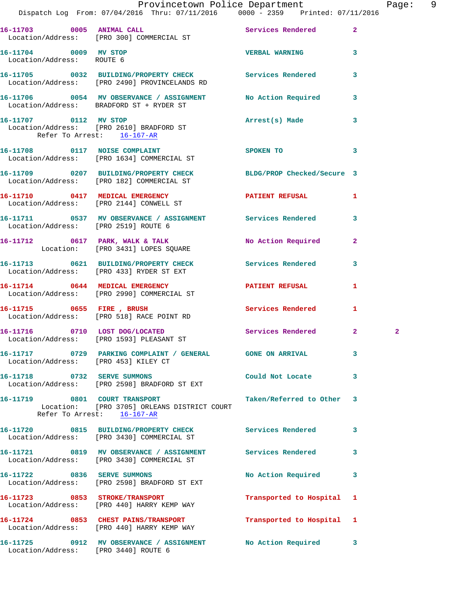|                                                    | Provincetown Police Department Page: 9<br>Dispatch Log From: $07/04/2016$ Thru: $07/11/2016$ 0000 - 2359 Printed: $07/11/2016$ |                           |              |              |  |
|----------------------------------------------------|--------------------------------------------------------------------------------------------------------------------------------|---------------------------|--------------|--------------|--|
|                                                    | 16-11703 0005 ANIMAL CALL 2 Services Rendered 2<br>Location/Address: [PRO 300] COMMERCIAL ST                                   |                           |              |              |  |
| 16-11704 0009 MV STOP<br>Location/Address: ROUTE 6 |                                                                                                                                | <b>VERBAL WARNING 3</b>   |              |              |  |
|                                                    | 16-11705 0032 BUILDING/PROPERTY CHECK Services Rendered<br>Location/Address: [PRO 2490] PROVINCELANDS RD                       |                           | $\mathbf{3}$ |              |  |
|                                                    | 16-11706 0054 MV OBSERVANCE / ASSIGNMENT No Action Required 3<br>Location/Address: BRADFORD ST + RYDER ST                      |                           |              |              |  |
| Refer To Arrest: 16-167-AR                         | 16-11707 0112 MV STOP<br>Location/Address: [PRO 2610] BRADFORD ST                                                              | Arrest(s) Made 3          |              |              |  |
|                                                    | 16-11708 0117 NOISE COMPLAINT<br>Location/Address: [PRO 1634] COMMERCIAL ST                                                    | SPOKEN TO                 | $\mathbf{3}$ |              |  |
|                                                    | 16-11709 0207 BUILDING/PROPERTY CHECK BLDG/PROP Checked/Secure 3<br>Location/Address: [PRO 182] COMMERCIAL ST                  |                           |              |              |  |
|                                                    | 16-11710 0417 MEDICAL EMERGENCY<br>Location/Address: [PRO 2144] CONWELL ST                                                     | PATIENT REFUSAL 1         |              |              |  |
| Location/Address: [PRO 2519] ROUTE 6               | 16-11711 0537 MV OBSERVANCE / ASSIGNMENT Services Rendered 3                                                                   |                           |              |              |  |
|                                                    | 16-11712 0617 PARK, WALK & TALK No Action Required 2<br>Location: [PRO 3431] LOPES SQUARE                                      |                           |              |              |  |
|                                                    | 16-11713 0621 BUILDING/PROPERTY CHECK Services Rendered 3<br>Location/Address: [PRO 433] RYDER ST EXT                          |                           |              |              |  |
|                                                    | 16-11714 0644 MEDICAL EMERGENCY PATIENT REFUSAL<br>Location/Address: [PRO 2990] COMMERCIAL ST                                  |                           | $\mathbf{1}$ |              |  |
|                                                    | 16-11715 0655 FIRE, BRUSH<br>Location/Address: [PRO 518] RACE POINT RD                                                         | Services Rendered 1       |              |              |  |
|                                                    | 16-11716 0710 LOST DOG/LOCATED Services Rendered 2<br>Location/Address: [PRO 1593] PLEASANT ST                                 |                           |              | $\mathbf{2}$ |  |
|                                                    |                                                                                                                                |                           | 3            |              |  |
|                                                    | 16-11718 0732 SERVE SUMMONS<br>Location/Address: [PRO 2598] BRADFORD ST EXT                                                    | Could Not Locate          | 3            |              |  |
|                                                    | 16-11719 0801 COURT TRANSPORT<br>Location: [PRO 3705] ORLEANS DISTRICT COURT<br>Refer To Arrest: 16-167-AR                     | Taken/Referred to Other 3 |              |              |  |
|                                                    | 16-11720 0815 BUILDING/PROPERTY CHECK<br>Location/Address: [PRO 3430] COMMERCIAL ST                                            | Services Rendered         | 3            |              |  |
|                                                    | 16-11721 0819 MV OBSERVANCE / ASSIGNMENT Services Rendered<br>Location/Address: [PRO 3430] COMMERCIAL ST                       |                           | 3            |              |  |
|                                                    | 16-11722 0836 SERVE SUMMONS<br>Location/Address: [PRO 2598] BRADFORD ST EXT                                                    | No Action Required        | 3            |              |  |
| 16-11723 0853 STROKE/TRANSPORT                     | Location/Address: [PRO 440] HARRY KEMP WAY                                                                                     | Transported to Hospital 1 |              |              |  |
|                                                    | 16-11724 0853 CHEST PAINS/TRANSPORT<br>Location/Address: [PRO 440] HARRY KEMP WAY                                              | Transported to Hospital 1 |              |              |  |
|                                                    | 16-11725 0912 MV OBSERVANCE / ASSIGNMENT No Action Required 3                                                                  |                           |              |              |  |

Location/Address: [PRO 3440] ROUTE 6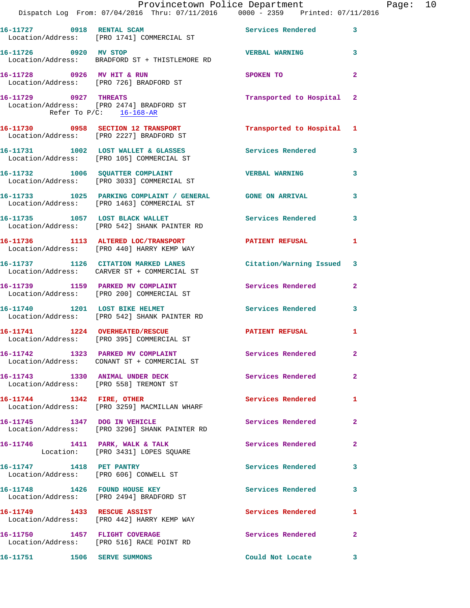|                             | Provincetown Police Department Fage: 10<br>Dispatch Log From: 07/04/2016 Thru: 07/11/2016 0000 - 2359 Printed: 07/11/2016       |                           |              |  |
|-----------------------------|---------------------------------------------------------------------------------------------------------------------------------|---------------------------|--------------|--|
|                             | 16-11727 0918 RENTAL SCAM Services Rendered 3<br>Location/Address: [PRO 1741] COMMERCIAL ST                                     |                           |              |  |
| 16-11726 0920 MV STOP       | Location/Address: BRADFORD ST + THISTLEMORE RD                                                                                  | <b>VERBAL WARNING</b> 3   |              |  |
|                             | 16-11728 0926 MV HIT & RUN<br>Location/Address: [PRO 726] BRADFORD ST                                                           | SPOKEN TO                 | $\mathbf{2}$ |  |
| Refer To $P/C$ : 16-168-AR  | 16-11729 0927 THREATS<br>Location/Address: [PRO 2474] BRADFORD ST                                                               | Transported to Hospital 2 |              |  |
|                             | 16-11730 0958 SECTION 12 TRANSPORT<br>Location/Address: [PRO 2227] BRADFORD ST                                                  | Transported to Hospital 1 |              |  |
|                             | 16-11731 1002 LOST WALLET & GLASSES Services Rendered<br>Location/Address: [PRO 105] COMMERCIAL ST                              |                           | $\mathbf{3}$ |  |
|                             | 16-11732 1006 SQUATTER COMPLAINT <b>16-11732</b> 16-11732 1006 SQUATTER COMPLAINT<br>Location/Address: [PRO 3033] COMMERCIAL ST |                           |              |  |
|                             | 16-11733 1025 PARKING COMPLAINT / GENERAL GONE ON ARRIVAL<br>Location/Address: [PRO 1463] COMMERCIAL ST                         |                           | 3            |  |
|                             | 16-11735 1057 LOST BLACK WALLET Services Rendered 3<br>Location/Address: [PRO 542] SHANK PAINTER RD                             |                           |              |  |
|                             | 16-11736 1113 ALTERED LOC/TRANSPORT PATIENT REFUSAL Location/Address: [PRO 440] HARRY KEMP WAY                                  |                           | 1            |  |
|                             | 16-11737 1126 CITATION MARKED LANES Citation/Warning Issued 3<br>Location/Address: CARVER ST + COMMERCIAL ST                    |                           |              |  |
|                             | 16-11739 1159 PARKED MV COMPLAINT<br>Location/Address: [PRO 200] COMMERCIAL ST                                                  | Services Rendered         | $\mathbf{2}$ |  |
|                             | 16-11740 1201 LOST BIKE HELMET<br>Location/Address: [PRO 542] SHANK PAINTER RD                                                  | <b>Services Rendered</b>  | 3            |  |
|                             | 16-11741 1224 OVERHEATED/RESCUE THE PATIENT REFUSAL<br>Location/Address: [PRO 395] COMMERCIAL ST                                |                           | 1            |  |
|                             | 16-11742 1323 PARKED MV COMPLAINT<br>Location/Address: CONANT ST + COMMERCIAL ST                                                | Services Rendered         | $\mathbf{2}$ |  |
|                             | 16-11743 1330 ANIMAL UNDER DECK<br>Location/Address: [PRO 558] TREMONT ST                                                       | Services Rendered         | $\mathbf{2}$ |  |
| 16-11744 1342 FIRE, OTHER   | Location/Address: [PRO 3259] MACMILLAN WHARF                                                                                    | Services Rendered 1       |              |  |
|                             | 16-11745 1347 DOG IN VEHICLE<br>Location/Address: [PRO 3296] SHANK PAINTER RD                                                   | Services Rendered         | $\mathbf{2}$ |  |
|                             | 16-11746 1411 PARK, WALK & TALK Services Rendered<br>Location: [PRO 3431] LOPES SQUARE                                          |                           | $\mathbf{2}$ |  |
|                             | 16-11747 1418 PET PANTRY<br>Location/Address: [PRO 606] CONWELL ST                                                              | Services Rendered         | 3            |  |
|                             | 16-11748 1426 FOUND HOUSE KEY<br>Location/Address: [PRO 2494] BRADFORD ST                                                       | <b>Services Rendered</b>  | 3            |  |
|                             | 16-11749 1433 RESCUE ASSIST<br>Location/Address: [PRO 442] HARRY KEMP WAY                                                       | Services Rendered 1       |              |  |
|                             | 16-11750 1457 FLIGHT COVERAGE<br>Location/Address: [PRO 516] RACE POINT RD                                                      | Services Rendered         | 2            |  |
| 16-11751 1506 SERVE SUMMONS |                                                                                                                                 | Could Not Locate          | $\mathbf{3}$ |  |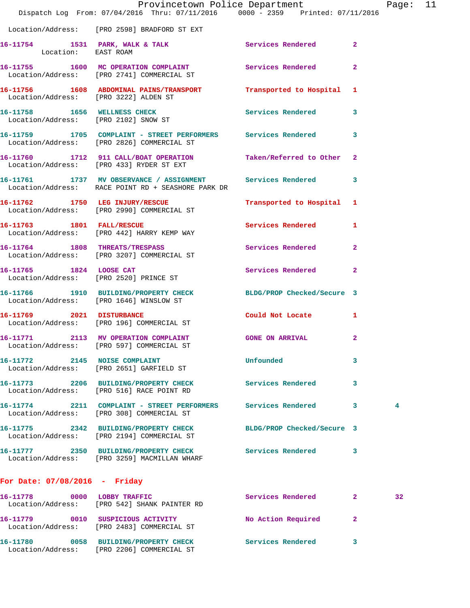|                                         |                                                                                                                    | Provincetown Police Department                                                                                  |              | Page: 11 |  |
|-----------------------------------------|--------------------------------------------------------------------------------------------------------------------|-----------------------------------------------------------------------------------------------------------------|--------------|----------|--|
|                                         | Dispatch Log From: 07/04/2016 Thru: 07/11/2016 0000 - 2359 Printed: 07/11/2016                                     |                                                                                                                 |              |          |  |
|                                         | Location/Address: [PRO 2598] BRADFORD ST EXT                                                                       |                                                                                                                 |              |          |  |
| Location: EAST ROAM                     | 16-11754 1531 PARK, WALK & TALK 1997 Services Rendered 2                                                           |                                                                                                                 |              |          |  |
|                                         | 16-11755 1600 MC OPERATION COMPLAINT 5ervices Rendered 2<br>Location/Address: [PRO 2741] COMMERCIAL ST             |                                                                                                                 |              |          |  |
| Location/Address: [PRO 3222] ALDEN ST   | 16-11756 1608 ABDOMINAL PAINS/TRANSPORT Transported to Hospital 1                                                  |                                                                                                                 |              |          |  |
| Location/Address: [PRO 2102] SNOW ST    | 16-11758 1656 WELLNESS CHECK                                                                                       | Services Rendered 3                                                                                             |              |          |  |
|                                         | 16-11759 1705 COMPLAINT - STREET PERFORMERS Services Rendered 3<br>Location/Address: [PRO 2826] COMMERCIAL ST      |                                                                                                                 |              |          |  |
|                                         | 16-11760 1712 911 CALL/BOAT OPERATION Taken/Referred to Other 2<br>Location/Address: [PRO 433] RYDER ST EXT        |                                                                                                                 |              |          |  |
|                                         | 16-11761 1737 MV OBSERVANCE / ASSIGNMENT Services Rendered 3<br>Location/Address: RACE POINT RD + SEASHORE PARK DR |                                                                                                                 |              |          |  |
|                                         | 16-11762 1750 LEG INJURY/RESCUE<br>Location/Address: [PRO 2990] COMMERCIAL ST                                      | Transported to Hospital 1                                                                                       |              |          |  |
|                                         | 16-11763 1801 FALL/RESCUE<br>Location/Address: [PRO 442] HARRY KEMP WAY                                            | Services Rendered 1                                                                                             |              |          |  |
|                                         | 16-11764 1808 THREATS/TRESPASS<br>Location/Address: [PRO 3207] COMMERCIAL ST                                       | Services Rendered 2                                                                                             |              |          |  |
|                                         | 16-11765 1824 LOOSE CAT<br>Location/Address: [PRO 2520] PRINCE ST                                                  | Services Rendered 2                                                                                             |              |          |  |
| Location/Address: [PRO 1646] WINSLOW ST | 16-11766 1910 BUILDING/PROPERTY CHECK BLDG/PROP Checked/Secure 3                                                   |                                                                                                                 |              |          |  |
|                                         | 16-11769 2021 DISTURBANCE<br>Location/Address: [PRO 196] COMMERCIAL ST                                             | Could Not Locate                                                                                                | $\mathbf{1}$ |          |  |
|                                         | 16-11771 2113 MV OPERATION COMPLAINT GONE ON ARRIVAL 2<br>Location/Address: [PRO 597] COMMERCIAL ST                |                                                                                                                 |              |          |  |
|                                         | 16-11772 2145 NOISE COMPLAINT<br>Location/Address: [PRO 2651] GARFIELD ST                                          | Unfounded the contract of the contract of the contract of the contract of the contract of the contract of the c | 3            |          |  |
|                                         | 16-11773 2206 BUILDING/PROPERTY CHECK Services Rendered 3<br>Location/Address: [PRO 516] RACE POINT RD             |                                                                                                                 |              |          |  |
|                                         | 16-11774 2211 COMPLAINT - STREET PERFORMERS Services Rendered 3<br>Location/Address: [PRO 308] COMMERCIAL ST       |                                                                                                                 |              | 4        |  |
|                                         | 16-11775 2342 BUILDING/PROPERTY CHECK<br>Location/Address: [PRO 2194] COMMERCIAL ST                                | BLDG/PROP Checked/Secure 3                                                                                      |              |          |  |
|                                         | 16-11777 2350 BUILDING/PROPERTY CHECK<br>Location/Address: [PRO 3259] MACMILLAN WHARF                              | Services Rendered 3                                                                                             |              |          |  |
| For Date: $07/08/2016$ - Friday         |                                                                                                                    |                                                                                                                 |              |          |  |
|                                         | 16-11778 0000 LOBBY TRAFFIC<br>Location/Address: [PRO 542] SHANK PAINTER RD                                        | Services Rendered 2                                                                                             |              | 32       |  |
|                                         | 16-11779 0010 SUSPICIOUS ACTIVITY<br>Location/Address: [PRO 2483] COMMERCIAL ST                                    | No Action Required 2                                                                                            |              |          |  |
|                                         |                                                                                                                    |                                                                                                                 |              |          |  |

**16-11780 0058 BUILDING/PROPERTY CHECK Services Rendered 3** 

Location/Address: [PRO 2206] COMMERCIAL ST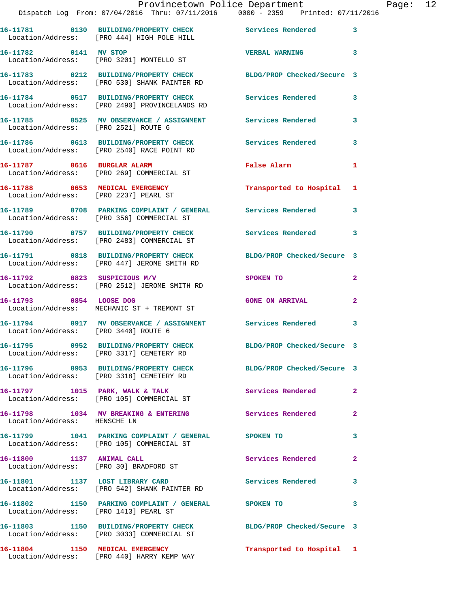## Provincetown Police Department Page: 12

Dispatch Log From: 07/04/2016 Thru: 07/11/2016 0000 - 2359 Printed: 07/11/2016

|                                      | Dispatch Log From: 07/04/2016 Thru: 07/11/2016      0000 - 2359      Printed: 07/11/                         |                            |                         |
|--------------------------------------|--------------------------------------------------------------------------------------------------------------|----------------------------|-------------------------|
|                                      | 16-11781 0130 BUILDING/PROPERTY CHECK<br>Location/Address: [PRO 444] HIGH POLE HILL                          | Services Rendered 3        |                         |
| 16-11782 0141 MV STOP                | Location/Address: [PRO 3201] MONTELLO ST                                                                     | <b>VERBAL WARNING</b>      | $\overline{\mathbf{3}}$ |
|                                      | 16-11783 0212 BUILDING/PROPERTY CHECK<br>Location/Address: [PRO 530] SHANK PAINTER RD                        | BLDG/PROP Checked/Secure 3 |                         |
|                                      | 16-11784 0517 BUILDING/PROPERTY CHECK<br>Location/Address: [PRO 2490] PROVINCELANDS RD                       | <b>Services Rendered</b>   | $\mathbf{3}$            |
| Location/Address: [PRO 2521] ROUTE 6 | 16-11785 0525 MV OBSERVANCE / ASSIGNMENT Services Rendered                                                   |                            | $\mathbf{3}$            |
|                                      | 16-11786 0613 BUILDING/PROPERTY CHECK<br>Location/Address: [PRO 2540] RACE POINT RD                          | <b>Services Rendered</b>   | 3                       |
| 16-11787 0616 BURGLAR ALARM          | Location/Address: [PRO 269] COMMERCIAL ST                                                                    | False Alarm                | $\mathbf{1}$            |
|                                      | 16-11788 0653 MEDICAL EMERGENCY<br>Location/Address: [PRO 2237] PEARL ST                                     | Transported to Hospital 1  |                         |
|                                      | 16-11789 0708 PARKING COMPLAINT / GENERAL Services Rendered<br>Location/Address: [PRO 356] COMMERCIAL ST     |                            | 3                       |
|                                      | 16-11790 0757 BUILDING/PROPERTY CHECK<br>Location/Address: [PRO 2483] COMMERCIAL ST                          | Services Rendered 3        |                         |
|                                      | 16-11791 0818 BUILDING/PROPERTY CHECK<br>Location/Address: [PRO 447] JEROME SMITH RD                         | BLDG/PROP Checked/Secure 3 |                         |
|                                      | 16-11792 0823 SUSPICIOUS M/V<br>Location/Address: [PRO 2512] JEROME SMITH RD                                 | <b>SPOKEN TO</b>           | $\overline{2}$          |
| 16-11793 0854 LOOSE DOG              | Location/Address: MECHANIC ST + TREMONT ST                                                                   | <b>GONE ON ARRIVAL</b>     | $\overline{a}$          |
| Location/Address: [PRO 3440] ROUTE 6 | 16-11794 0917 MV OBSERVANCE / ASSIGNMENT Services Rendered 3                                                 |                            |                         |
|                                      | 16-11795 0952 BUILDING/PROPERTY CHECK BLDG/PROP Checked/Secure 3<br>Location/Address: [PRO 3317] CEMETERY RD |                            |                         |
|                                      | 16-11796 0953 BUILDING/PROPERTY CHECK<br>Location/Address: [PRO 3318] CEMETERY RD                            | BLDG/PROP Checked/Secure 3 |                         |
|                                      | 16-11797 1015 PARK, WALK & TALK<br>Location/Address: [PRO 105] COMMERCIAL ST                                 | Services Rendered          | $\overline{2}$          |
| Location/Address: HENSCHE LN         | 16-11798 1034 MV BREAKING & ENTERING                                                                         | Services Rendered          | $\mathbf{2}$            |
|                                      | 16-11799 1041 PARKING COMPLAINT / GENERAL SPOKEN TO<br>Location/Address: [PRO 105] COMMERCIAL ST             |                            | 3                       |
| 16-11800 1137 ANIMAL CALL            | Location/Address: [PRO 30] BRADFORD ST                                                                       | Services Rendered          | $\overline{a}$          |
|                                      | 16-11801 1137 LOST LIBRARY CARD<br>Location/Address: [PRO 542] SHANK PAINTER RD                              | <b>Services Rendered</b>   | 3                       |
|                                      | 16-11802 1150 PARKING COMPLAINT / GENERAL SPOKEN TO<br>Location/Address: [PRO 1413] PEARL ST                 |                            | 3                       |
|                                      | 16-11803 1150 BUILDING/PROPERTY CHECK<br>Location/Address: [PRO 3033] COMMERCIAL ST                          | BLDG/PROP Checked/Secure 3 |                         |
|                                      | 16-11804 1150 MEDICAL EMERGENCY<br>Location/Address: [PRO 440] HARRY KEMP WAY                                | Transported to Hospital 1  |                         |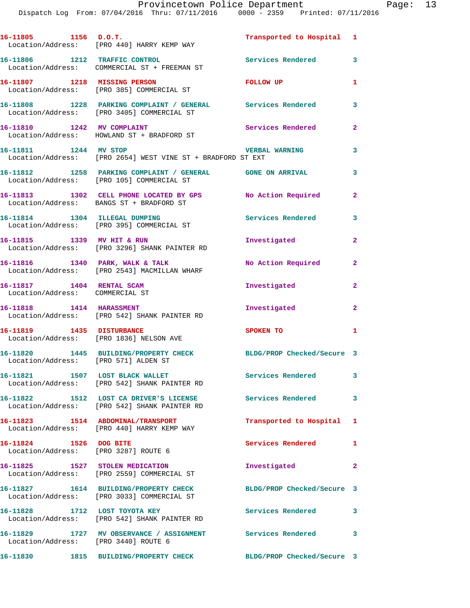| 16-11805 1156 D.O.T.                                           | Location/Address: [PRO 440] HARRY KEMP WAY                                                                | Transported to Hospital 1  |                            |
|----------------------------------------------------------------|-----------------------------------------------------------------------------------------------------------|----------------------------|----------------------------|
|                                                                | 16-11806 1212 TRAFFIC CONTROL<br>Location/Address: COMMERCIAL ST + FREEMAN ST                             | Services Rendered          | 3                          |
| 16-11807 1218 MISSING PERSON                                   | Location/Address: [PRO 385] COMMERCIAL ST                                                                 | FOLLOW UP                  | $\mathbf{1}$               |
|                                                                | 16-11808 1228 PARKING COMPLAINT / GENERAL Services Rendered<br>Location/Address: [PRO 3405] COMMERCIAL ST |                            | 3                          |
| 16-11810 1242 MV COMPLAINT                                     | Location/Address: HOWLAND ST + BRADFORD ST                                                                | Services Rendered          | $\mathbf{2}$               |
| 16-11811 1244 MV STOP                                          | Location/Address: [PRO 2654] WEST VINE ST + BRADFORD ST EXT                                               | <b>VERBAL WARNING</b>      | 3                          |
|                                                                | 16-11812 1258 PARKING COMPLAINT / GENERAL GONE ON ARRIVAL<br>Location/Address: [PRO 105] COMMERCIAL ST    |                            | 3                          |
|                                                                | 16-11813 1302 CELL PHONE LOCATED BY GPS No Action Required<br>Location/Address: BANGS ST + BRADFORD ST    |                            | $\mathbf{2}$               |
|                                                                | 16-11814 1304 ILLEGAL DUMPING<br>Location/Address: [PRO 395] COMMERCIAL ST                                | <b>Services Rendered</b>   | 3                          |
| 16-11815 1339 MV HIT & RUN                                     | Location/Address: [PRO 3296] SHANK PAINTER RD                                                             | Investigated               | $\overline{2}$             |
|                                                                | 16-11816 1340 PARK, WALK & TALK<br>Location/Address: [PRO 2543] MACMILLAN WHARF                           | No Action Required         | $\mathbf{2}$               |
| 16-11817 1404 RENTAL SCAM<br>Location/Address: COMMERCIAL ST   |                                                                                                           | Investigated               | $\overline{2}$             |
|                                                                | 16-11818    1414    HARASSMENT<br>Location/Address: [PRO 542] SHANK PAINTER RD                            | Investigated               | $\mathbf{2}$               |
| 16-11819 1435 DISTURBANCE                                      | Location/Address: [PRO 1836] NELSON AVE                                                                   | SPOKEN TO                  | $\mathbf{1}$               |
| Location/Address: [PRO 571] ALDEN ST                           | 16-11820 1445 BUILDING/PROPERTY CHECK BLDG/PROP Checked/Secure 3                                          |                            |                            |
|                                                                | 16-11821 1507 LOST BLACK WALLET<br>Location/Address: [PRO 542] SHANK PAINTER RD                           | Services Rendered          | $\overline{\mathbf{3}}$    |
|                                                                | 16-11822 1512 LOST CA DRIVER'S LICENSE<br>Location/Address: [PRO 542] SHANK PAINTER RD                    | Services Rendered          | $\overline{\phantom{a}}$ 3 |
|                                                                | 16-11823 1514 ABDOMINAL/TRANSPORT<br>Location/Address: [PRO 440] HARRY KEMP WAY                           | Transported to Hospital 1  |                            |
| 16-11824 1526 DOG BITE<br>Location/Address: [PRO 3287] ROUTE 6 |                                                                                                           | Services Rendered 1        |                            |
| 16-11825 1527 STOLEN MEDICATION                                | Location/Address: [PRO 2559] COMMERCIAL ST                                                                | Investigated               | $\overline{2}$             |
|                                                                | 16-11827 1614 BUILDING/PROPERTY CHECK<br>Location/Address: [PRO 3033] COMMERCIAL ST                       | BLDG/PROP Checked/Secure 3 |                            |
| 16-11828 1712 LOST TOYOTA KEY                                  | Location/Address: [PRO 542] SHANK PAINTER RD                                                              | Services Rendered 3        |                            |
| Location/Address: [PRO 3440] ROUTE 6                           | 16-11829 1727 MV OBSERVANCE / ASSIGNMENT Services Rendered                                                |                            | 3                          |
| 16-11830                                                       | 1815 BUILDING/PROPERTY CHECK                                                                              | BLDG/PROP Checked/Secure 3 |                            |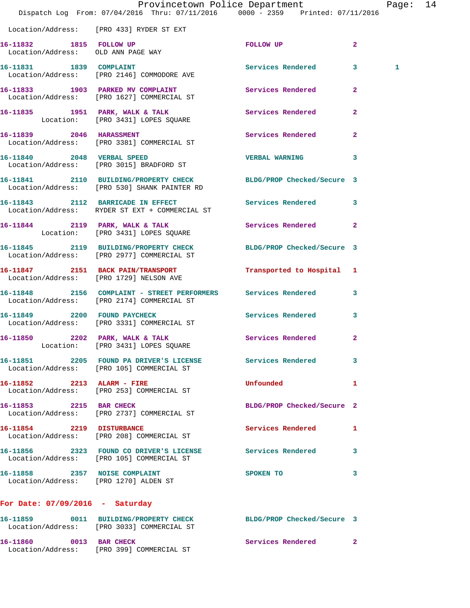|                                                               | Dispatch Log From: 07/04/2016 Thru: 07/11/2016 0000 - 2359 Printed: 07/11/2016                                   | Provincetown Police Department |                | Page: 14 |  |
|---------------------------------------------------------------|------------------------------------------------------------------------------------------------------------------|--------------------------------|----------------|----------|--|
|                                                               | Location/Address: [PRO 433] RYDER ST EXT                                                                         |                                |                |          |  |
| 16-11832 1815 FOLLOW UP<br>Location/Address: OLD ANN PAGE WAY |                                                                                                                  | FOLLOW UP                      | $\mathbf{2}$   |          |  |
|                                                               | 16-11831 1839 COMPLAINT<br>Location/Address: [PRO 2146] COMMODORE AVE                                            | Services Rendered 3            |                | 1        |  |
|                                                               | 16-11833 1903 PARKED MV COMPLAINT Services Rendered 2<br>Location/Address: [PRO 1627] COMMERCIAL ST              |                                |                |          |  |
|                                                               | 16-11835 1951 PARK, WALK & TALK<br>Location: [PRO 3431] LOPES SQUARE                                             | Services Rendered              | $\mathbf{2}$   |          |  |
| 16-11839 2046 HARASSMENT                                      | Location/Address: [PRO 3381] COMMERCIAL ST                                                                       | Services Rendered              | $\mathbf{2}$   |          |  |
|                                                               | 16-11840 2048 VERBAL SPEED<br>Location/Address: [PRO 3015] BRADFORD ST                                           | <b>VERBAL WARNING</b>          | 3              |          |  |
|                                                               | 16-11841 2110 BUILDING/PROPERTY CHECK BLDG/PROP Checked/Secure 3<br>Location/Address: [PRO 530] SHANK PAINTER RD |                                |                |          |  |
|                                                               | 16-11843 2112 BARRICADE IN EFFECT<br>Location/Address: RYDER ST EXT + COMMERCIAL ST                              | Services Rendered 3            |                |          |  |
|                                                               | 16-11844 2119 PARK, WALK & TALK<br>Location: [PRO 3431] LOPES SQUARE                                             | Services Rendered              | $\overline{2}$ |          |  |
|                                                               | 16-11845 2119 BUILDING/PROPERTY CHECK<br>Location/Address: [PRO 2977] COMMERCIAL ST                              | BLDG/PROP Checked/Secure 3     |                |          |  |
|                                                               | 16-11847 2151 BACK PAIN/TRANSPORT<br>Location/Address: [PRO 1729] NELSON AVE                                     | Transported to Hospital 1      |                |          |  |
|                                                               | 16-11848 2156 COMPLAINT - STREET PERFORMERS Services Rendered 3<br>Location/Address: [PRO 2174] COMMERCIAL ST    |                                |                |          |  |
| 16-11849 2200 FOUND PAYCHECK                                  | Location/Address: [PRO 3331] COMMERCIAL ST                                                                       | Services Rendered              | $\mathbf{3}$   |          |  |
|                                                               | 16-11850 2202 PARK, WALK & TALK 3 Services Rendered 2<br>Location: [PRO 3431] LOPES SQUARE                       |                                |                |          |  |
|                                                               | 16-11851 2205 FOUND PA DRIVER'S LICENSE Services Rendered 3<br>Location/Address: [PRO 105] COMMERCIAL ST         |                                |                |          |  |
|                                                               | 16-11852 2213 ALARM - FIRE<br>Location/Address: [PRO 253] COMMERCIAL ST                                          | <b>Unfounded</b>               | 1              |          |  |
| 16-11853 2215 BAR CHECK                                       | Location/Address: [PRO 2737] COMMERCIAL ST                                                                       | BLDG/PROP Checked/Secure 2     |                |          |  |
|                                                               | 16-11854 2219 DISTURBANCE<br>Location/Address: [PRO 208] COMMERCIAL ST                                           | Services Rendered              | ı              |          |  |
|                                                               | 16-11856 2323 FOUND CO DRIVER'S LICENSE Services Rendered<br>Location/Address: [PRO 105] COMMERCIAL ST           |                                | 3              |          |  |
| 16-11858 2357 NOISE COMPLAINT                                 | Location/Address: [PRO 1270] ALDEN ST                                                                            | SPOKEN TO                      | 3              |          |  |
| For Date: $07/09/2016$ - Saturday                             |                                                                                                                  |                                |                |          |  |
|                                                               | 16-11859 0011 BUILDING/PROPERTY CHECK BLDG/PROP Checked/Secure 3<br>Location/Address: [PRO 3033] COMMERCIAL ST   |                                |                |          |  |
| 16-11860 0013 BAR CHECK                                       | Location/Address: [PRO 399] COMMERCIAL ST                                                                        | Services Rendered 2            |                |          |  |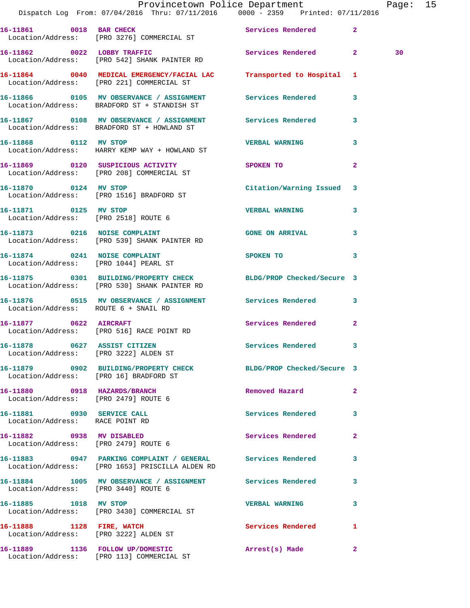|                                                                      | Provincetown Police Department<br>Dispatch Log From: 07/04/2016 Thru: 07/11/2016 0000 - 2359 Printed: 07/11/2016  |                           |              | Page: 15 |  |
|----------------------------------------------------------------------|-------------------------------------------------------------------------------------------------------------------|---------------------------|--------------|----------|--|
|                                                                      | 16-11861 0018 BAR CHECK Services Rendered 2<br>Location/Address: [PRO 3276] COMMERCIAL ST                         |                           |              |          |  |
|                                                                      | 16-11862 0022 LOBBY TRAFFIC Services Rendered 2<br>Location/Address: [PRO 542] SHANK PAINTER RD                   |                           |              | 30       |  |
|                                                                      | 16-11864 0040 MEDICAL EMERGENCY/FACIAL LAC Transported to Hospital 1<br>Location/Address: [PRO 221] COMMERCIAL ST |                           |              |          |  |
|                                                                      | 16-11866 0105 MV OBSERVANCE / ASSIGNMENT Services Rendered 3<br>Location/Address: BRADFORD ST + STANDISH ST       |                           |              |          |  |
|                                                                      | Location/Address: BRADFORD ST + HOWLAND ST                                                                        |                           |              |          |  |
|                                                                      | 16-11868 0112 MV STOP<br>Location/Address: HARRY KEMP WAY + HOWLAND ST                                            | <b>VERBAL WARNING</b>     | 3            |          |  |
|                                                                      | 16-11869  0120 SUSPICIOUS ACTIVITY  SPOKEN TO<br>Location/Address: [PRO 208] COMMERCIAL ST                        |                           | $\mathbf{2}$ |          |  |
|                                                                      | 16-11870 0124 MV STOP<br>Location/Address: [PRO 1516] BRADFORD ST                                                 | Citation/Warning Issued 3 |              |          |  |
| 16-11871 0125 MV STOP                                                | Location/Address: [PRO 2518] ROUTE 6                                                                              | <b>VERBAL WARNING</b>     | $\mathbf{3}$ |          |  |
|                                                                      | 16-11873 0216 NOISE COMPLAINT CONSERVAL GONE ON ARRIVAL<br>Location/Address: [PRO 539] SHANK PAINTER RD           |                           | 3            |          |  |
|                                                                      | 16-11874 0241 NOISE COMPLAINT<br>Location/Address: [PRO 1044] PEARL ST                                            | SPOKEN TO                 | $\mathbf{3}$ |          |  |
|                                                                      | 16-11875 0301 BUILDING/PROPERTY CHECK BLDG/PROP Checked/Secure 3<br>Location/Address: [PRO 530] SHANK PAINTER RD  |                           |              |          |  |
| Location/Address: ROUTE 6 + SNAIL RD                                 | 16-11876  0515 MV OBSERVANCE / ASSIGNMENT Services Rendered 3                                                     |                           |              |          |  |
|                                                                      | 16-11877 0622 AIRCRAFT<br>Location/Address: [PRO 516] RACE POINT RD                                               | Services Rendered 2       |              |          |  |
| Location/Address: [PRO 3222] ALDEN ST                                | 16-11878 0627 ASSIST CITIZEN                                                                                      | Services Rendered         |              |          |  |
| Location/Address: [PRO 16] BRADFORD ST                               | 16-11879 0902 BUILDING/PROPERTY CHECK BLDG/PROP Checked/Secure 3                                                  |                           |              |          |  |
| 16-11880 0918 HAZARDS/BRANCH<br>Location/Address: [PRO 2479] ROUTE 6 |                                                                                                                   | Removed Hazard            | $\mathbf{2}$ |          |  |
| 16-11881 0930 SERVICE CALL<br>Location/Address: RACE POINT RD        |                                                                                                                   | Services Rendered         | 3            |          |  |
| 16-11882 0938 MV DISABLED<br>Location/Address: [PRO 2479] ROUTE 6    |                                                                                                                   | Services Rendered         | $\mathbf{2}$ |          |  |
|                                                                      | 16-11883 0947 PARKING COMPLAINT / GENERAL Services Rendered<br>Location/Address: [PRO 1653] PRISCILLA ALDEN RD    |                           | 3            |          |  |
| Location/Address: [PRO 3440] ROUTE 6                                 | 16-11884 1005 MV OBSERVANCE / ASSIGNMENT Services Rendered                                                        |                           | 3            |          |  |
|                                                                      | 16-11885 1018 MV STOP<br>Location/Address: [PRO 3430] COMMERCIAL ST                                               | <b>VERBAL WARNING</b>     | 3            |          |  |
| 16-11888 1128 FIRE, WATCH                                            | Location/Address: [PRO 3222] ALDEN ST                                                                             | Services Rendered         | $\mathbf{1}$ |          |  |
|                                                                      | 16-11889 1136 FOLLOW UP/DOMESTIC<br>Location/Address: [PRO 113] COMMERCIAL ST                                     | Arrest(s) Made            | $\mathbf{2}$ |          |  |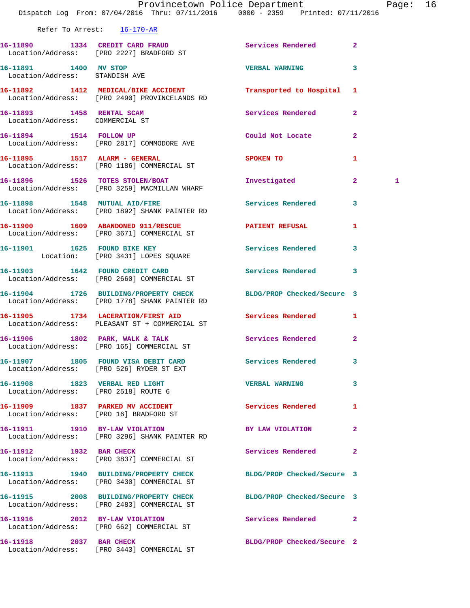|                                                              | Dispatch Log From: 07/04/2016 Thru: 07/11/2016 0000 - 2359 Printed: 07/11/2016                                 | Provincetown Police Department |                | Page: 16 |  |
|--------------------------------------------------------------|----------------------------------------------------------------------------------------------------------------|--------------------------------|----------------|----------|--|
|                                                              | Refer To Arrest: 16-170-AR                                                                                     |                                |                |          |  |
|                                                              | 16-11890 1334 CREDIT CARD FRAUD<br>Location/Address: [PRO 2227] BRADFORD ST                                    | Services Rendered              | $\mathbf{2}$   |          |  |
| 16-11891 1400 MV STOP<br>Location/Address: STANDISH AVE      |                                                                                                                | <b>VERBAL WARNING</b>          | 3              |          |  |
|                                                              | 16-11892 1412 MEDICAL/BIKE ACCIDENT<br>Location/Address: [PRO 2490] PROVINCELANDS RD                           | Transported to Hospital 1      |                |          |  |
| 16-11893 1458 RENTAL SCAM<br>Location/Address: COMMERCIAL ST |                                                                                                                | Services Rendered              | $\overline{2}$ |          |  |
|                                                              | 16-11894 1514 FOLLOW UP<br>Location/Address: [PRO 2817] COMMODORE AVE                                          | Could Not Locate 2             |                |          |  |
|                                                              | 16-11895 1517 ALARM - GENERAL<br>Location/Address: [PRO 1186] COMMERCIAL ST                                    | SPOKEN TO                      | 1              |          |  |
|                                                              | 16-11896 1526 TOTES STOLEN/BOAT<br>Location/Address: [PRO 3259] MACMILLAN WHARF                                | Investigated                   | $\mathbf{2}$   | 1        |  |
|                                                              | 16-11898 1548 MUTUAL AID/FIRE<br>Location/Address: [PRO 1892] SHANK PAINTER RD                                 | Services Rendered              | $\mathbf{3}$   |          |  |
|                                                              | 16-11900 1609 ABANDONED 911/RESCUE<br>Location/Address: [PRO 3671] COMMERCIAL ST                               | PATIENT REFUSAL                | 1              |          |  |
|                                                              | 16-11901 1625 FOUND BIKE KEY<br>Location: [PRO 3431] LOPES SQUARE                                              | <b>Services Rendered</b>       | $\mathbf{3}$   |          |  |
|                                                              | 16-11903 1642 FOUND CREDIT CARD<br>Location/Address: [PRO 2660] COMMERCIAL ST                                  | Services Rendered              | 3              |          |  |
|                                                              | 16-11904 1726 BUILDING/PROPERTY CHECK<br>Location/Address: [PRO 1778] SHANK PAINTER RD                         | BLDG/PROP Checked/Secure 3     |                |          |  |
|                                                              | 16-11905 1734 LACERATION/FIRST AID<br>Location/Address: PLEASANT ST + COMMERCIAL ST                            | Services Rendered 1            |                |          |  |
|                                                              | 16-11906 1802 PARK, WALK & TALK<br>Location/Address: [PRO 165] COMMERCIAL ST                                   | Services Rendered 2            |                |          |  |
|                                                              | 16-11907 1805 FOUND VISA DEBIT CARD Services Rendered 3<br>Location/Address: [PRO 526] RYDER ST EXT            |                                |                |          |  |
| Location/Address: [PRO 2518] ROUTE 6                         | 16-11908 1823 VERBAL RED LIGHT                                                                                 | VERBAL WARNING 3               |                |          |  |
|                                                              | 16-11909 1837 PARKED MV ACCIDENT Services Rendered 1<br>Location/Address: [PRO 16] BRADFORD ST                 |                                |                |          |  |
|                                                              | 16-11911 1910 BY-LAW VIOLATION<br>Location/Address: [PRO 3296] SHANK PAINTER RD                                | BY LAW VIOLATION               | 2              |          |  |
| 16-11912 1932 BAR CHECK                                      | Location/Address: [PRO 3837] COMMERCIAL ST                                                                     | Services Rendered 2            |                |          |  |
|                                                              | 16-11913 1940 BUILDING/PROPERTY CHECK BLDG/PROP Checked/Secure 3<br>Location/Address: [PRO 3430] COMMERCIAL ST |                                |                |          |  |
|                                                              | 16-11915 2008 BUILDING/PROPERTY CHECK BLDG/PROP Checked/Secure 3<br>Location/Address: [PRO 2483] COMMERCIAL ST |                                |                |          |  |
|                                                              | 16-11916 2012 BY-LAW VIOLATION<br>Location/Address: [PRO 662] COMMERCIAL ST                                    | Services Rendered 2            |                |          |  |
| 16-11918 2037 BAR CHECK                                      | Location/Address: [PRO 3443] COMMERCIAL ST                                                                     | BLDG/PROP Checked/Secure 2     |                |          |  |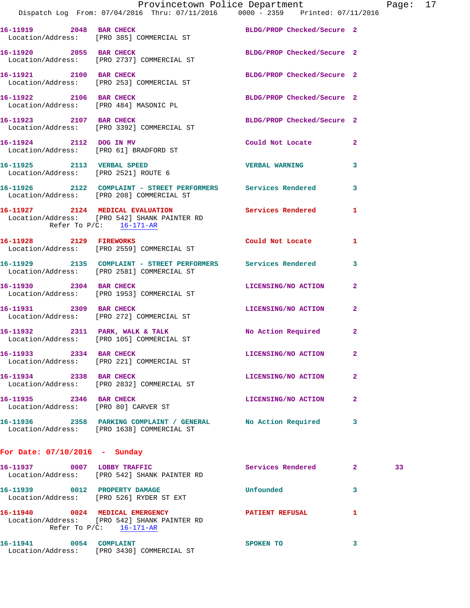|                                 | Dispatch Log From: 07/04/2016 Thru: 07/11/2016 0000 - 2359 Printed: 07/11/2016                                                     | Provincetown Police Department Page: 17 |              |    |  |
|---------------------------------|------------------------------------------------------------------------------------------------------------------------------------|-----------------------------------------|--------------|----|--|
|                                 | 16-11919 2048 BAR CHECK BLDG/PROP Checked/Secure 2<br>Location/Address: [PRO 385] COMMERCIAL ST                                    |                                         |              |    |  |
| 16-11920 2055 BAR CHECK         | Location/Address: [PRO 2737] COMMERCIAL ST                                                                                         | BLDG/PROP Checked/Secure 2              |              |    |  |
|                                 | 16-11921 2100 BAR CHECK<br>Location/Address: [PRO 253] COMMERCIAL ST                                                               | BLDG/PROP Checked/Secure 2              |              |    |  |
|                                 | 16-11922 2106 BAR CHECK BLDG/PROP Checked/Secure 2<br>Location/Address: [PRO 484] MASONIC PL                                       |                                         |              |    |  |
|                                 | 16-11923 2107 BAR CHECK<br>Location/Address: [PRO 3392] COMMERCIAL ST                                                              | BLDG/PROP Checked/Secure 2              |              |    |  |
|                                 | 16-11924 2112 DOG IN MV<br>Location/Address: [PRO 61] BRADFORD ST                                                                  | Could Not Locate                        | $\mathbf{2}$ |    |  |
| 16-11925 2113 VERBAL SPEED      | Location/Address: [PRO 2521] ROUTE 6                                                                                               | VERBAL WARNING 3                        |              |    |  |
|                                 | 16-11926 2122 COMPLAINT - STREET PERFORMERS Services Rendered<br>Location/Address: [PRO 208] COMMERCIAL ST                         |                                         | 3            |    |  |
|                                 | 16-11927 2124 MEDICAL EVALUATION Services Rendered 1<br>Location/Address: [PRO 542] SHANK PAINTER RD<br>Refer To $P/C$ : 16-171-AR |                                         |              |    |  |
|                                 | 16-11928 2129 FIREWORKS<br>Location/Address: [PRO 2559] COMMERCIAL ST                                                              | Could Not Locate                        | $\mathbf{1}$ |    |  |
|                                 | 16-11929 2135 COMPLAINT - STREET PERFORMERS Services Rendered 3<br>Location/Address: [PRO 2581] COMMERCIAL ST                      |                                         |              |    |  |
|                                 | 16-11930 2304 BAR CHECK<br>Location/Address: [PRO 1953] COMMERCIAL ST                                                              | LICENSING/NO ACTION                     | $\mathbf{2}$ |    |  |
| 16-11931 2309 BAR CHECK         | Location/Address: [PRO 272] COMMERCIAL ST                                                                                          | LICENSING/NO ACTION                     | 2            |    |  |
|                                 | 16-11932 2311 PARK, WALK & TALK NO Action Required 2<br>Location/Address: [PRO 105] COMMERCIAL ST                                  |                                         |              |    |  |
| 16-11933 2334 BAR CHECK         | Location/Address: [PRO 221] COMMERCIAL ST                                                                                          | LICENSING/NO ACTION                     | 2            |    |  |
|                                 | 16-11934 2338 BAR CHECK<br>Location/Address: [PRO 2832] COMMERCIAL ST                                                              | LICENSING/NO ACTION                     | 2            |    |  |
| 16-11935 2346 BAR CHECK         | Location/Address: [PRO 80] CARVER ST                                                                                               | LICENSING/NO ACTION 2                   |              |    |  |
|                                 | 16-11936 2358 PARKING COMPLAINT / GENERAL No Action Required<br>Location/Address: [PRO 1638] COMMERCIAL ST                         |                                         | 3            |    |  |
| For Date: $07/10/2016$ - Sunday |                                                                                                                                    |                                         |              |    |  |
|                                 | 16-11937 0007 LOBBY TRAFFIC<br>Location/Address: [PRO 542] SHANK PAINTER RD                                                        | Services Rendered 2                     |              | 33 |  |
|                                 | 16-11939 0012 PROPERTY DAMAGE<br>Location/Address: [PRO 526] RYDER ST EXT                                                          | Unfounded                               | 3            |    |  |
|                                 | 16-11940 0024 MEDICAL EMERGENCY<br>Location/Address: [PRO 542] SHANK PAINTER RD<br>Refer To $P/C$ : 16-171-AR                      | PATIENT REFUSAL                         | 1            |    |  |
| 16-11941 0054 COMPLAINT         | Location/Address: [PRO 3430] COMMERCIAL ST                                                                                         | SPOKEN TO                               | 3            |    |  |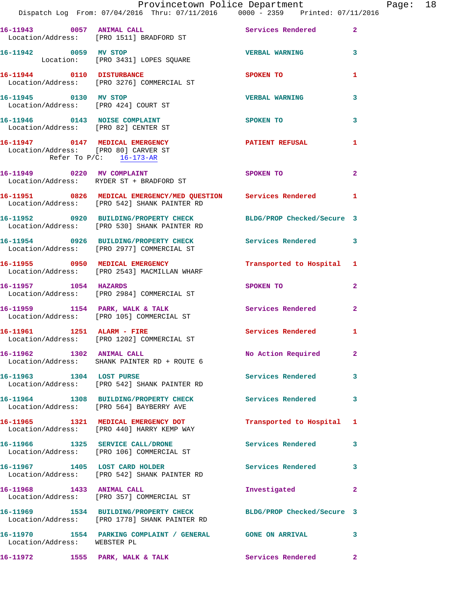|                                                                    | Provincetown Police Department The Page: 18                                                                               |                           |                         |
|--------------------------------------------------------------------|---------------------------------------------------------------------------------------------------------------------------|---------------------------|-------------------------|
|                                                                    | Dispatch Log From: 07/04/2016 Thru: 07/11/2016   0000 - 2359   Printed: 07/11/2016                                        |                           |                         |
|                                                                    | 16-11943 0057 ANIMAL CALL<br>Location/Address: [PRO 1511] BRADFORD ST                                                     | Services Rendered 2       |                         |
|                                                                    | 16-11942 0059 MV STOP<br>Location: [PRO 3431] LOPES SQUARE                                                                | <b>VERBAL WARNING</b> 3   |                         |
|                                                                    | 16-11944 0110 DISTURBANCE<br>Location/Address: [PRO 3276] COMMERCIAL ST                                                   | SPOKEN TO                 | 1                       |
|                                                                    | 16-11945 0130 MV STOP<br>Location/Address: [PRO 424] COURT ST                                                             | <b>VERBAL WARNING</b>     | 3                       |
| 16-11946 0143 NOISE COMPLAINT                                      | Location/Address: [PRO 82] CENTER ST                                                                                      | <b>SPOKEN TO</b>          | $\overline{\mathbf{3}}$ |
| Location/Address: [PRO 80] CARVER ST<br>Refer To $P/C$ : 16-173-AR |                                                                                                                           |                           | -1                      |
|                                                                    | 16-11949 0220 MV COMPLAINT<br>Location/Address: RYDER ST + BRADFORD ST                                                    | SPOKEN TO                 | $\overline{2}$          |
|                                                                    | 16-11951     0826   MEDICAL EMERGENCY/MED QUESTION    Services Rendered<br>Location/Address:   [PRO 542] SHANK PAINTER RD |                           | 1                       |
|                                                                    | 16-11952 0920 BUILDING/PROPERTY CHECK BLDG/PROP Checked/Secure 3<br>Location/Address: [PRO 530] SHANK PAINTER RD          |                           |                         |
|                                                                    | 16-11954 0926 BUILDING/PROPERTY CHECK Services Rendered 3<br>Location/Address: [PRO 2977] COMMERCIAL ST                   |                           |                         |
|                                                                    | 16-11955 0950 MEDICAL EMERGENCY Transported to Hospital 1<br>Location/Address: [PRO 2543] MACMILLAN WHARF                 |                           |                         |
|                                                                    | 16-11957 1054 HAZARDS<br>Location/Address: [PRO 2984] COMMERCIAL ST                                                       | SPOKEN TO                 | $\overline{2}$          |
|                                                                    | 16-11959 1154 PARK, WALK & TALK 1998 Services Rendered<br>Location/Address: [PRO 105] COMMERCIAL ST                       |                           | $\overline{2}$          |
|                                                                    | 16-11961 1251 ALARM - FIRE<br>Location/Address: [PRO 1202] COMMERCIAL ST                                                  | Services Rendered         | 1                       |
| 16-11962 1302 ANIMAL CALL                                          | Location/Address: SHANK PAINTER RD + ROUTE 6                                                                              | No Action Required 2      |                         |
|                                                                    | 16-11963 1304 LOST PURSE<br>Location/Address: [PRO 542] SHANK PAINTER RD                                                  | Services Rendered         | 3                       |
|                                                                    | 16-11964 1308 BUILDING/PROPERTY CHECK Services Rendered 3<br>Location/Address: [PRO 564] BAYBERRY AVE                     |                           |                         |
|                                                                    | 16-11965 1321 MEDICAL EMERGENCY DOT<br>Location/Address: [PRO 440] HARRY KEMP WAY                                         | Transported to Hospital 1 |                         |
|                                                                    | 16-11966 1325 SERVICE CALL/DRONE<br>Location/Address: [PRO 106] COMMERCIAL ST                                             | Services Rendered         | 3                       |
|                                                                    | 16-11967 1405 LOST CARD HOLDER<br>Location/Address: [PRO 542] SHANK PAINTER RD                                            | Services Rendered 3       |                         |
| 16-11968 1433 ANIMAL CALL                                          | Location/Address: [PRO 357] COMMERCIAL ST                                                                                 | Investigated              | $\mathbf{2}$            |
|                                                                    | 16-11969 1534 BUILDING/PROPERTY CHECK BLDG/PROP Checked/Secure 3<br>Location/Address: [PRO 1778] SHANK PAINTER RD         |                           |                         |
| Location/Address: WEBSTER PL                                       | 16-11970 1554 PARKING COMPLAINT / GENERAL GONE ON ARRIVAL                                                                 |                           | 3                       |
|                                                                    | 16-11972 1555 PARK, WALK & TALK                                                                                           | <b>Services Rendered</b>  | $\mathbf{2}$            |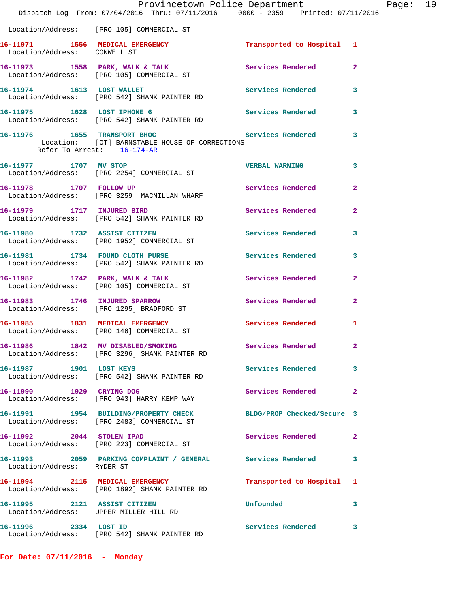|                                                                        | Provincetown Police Department<br>Dispatch Log From: 07/04/2016 Thru: 07/11/2016 0000 - 2359 Printed: 07/11/2016 |                            |                |
|------------------------------------------------------------------------|------------------------------------------------------------------------------------------------------------------|----------------------------|----------------|
|                                                                        | Location/Address: [PRO 105] COMMERCIAL ST                                                                        |                            |                |
| Location/Address: CONWELL ST                                           | 16-11971 1556 MEDICAL EMERGENCY 1 Transported to Hospital 1                                                      |                            |                |
|                                                                        | 16-11973 1558 PARK, WALK & TALK<br>Location/Address: [PRO 105] COMMERCIAL ST                                     | Services Rendered          | $\mathbf{2}$   |
|                                                                        | 16-11974 1613 LOST WALLET<br>Location/Address: [PRO 542] SHANK PAINTER RD                                        | Services Rendered          | 3              |
|                                                                        | 16-11975 1628 LOST IPHONE 6<br>Location/Address: [PRO 542] SHANK PAINTER RD                                      | Services Rendered          | 3              |
| Refer To Arrest: 16-174-AR                                             | 16-11976 1655 TRANSPORT BHOC 16-11976 Services Rendered<br>Location: [OT] BARNSTABLE HOUSE OF CORRECTIONS        |                            | 3              |
| 16-11977 1707 MV STOP                                                  | Location/Address: [PRO 2254] COMMERCIAL ST                                                                       | <b>VERBAL WARNING</b>      | 3              |
| 16-11978 1707 FOLLOW UP                                                | Location/Address: [PRO 3259] MACMILLAN WHARF                                                                     | Services Rendered          | $\mathbf{2}$   |
| 16-11979 1717 INJURED BIRD                                             | Location/Address: [PRO 542] SHANK PAINTER RD                                                                     | Services Rendered          | $\mathbf{2}$   |
|                                                                        | 16-11980 1732 ASSIST CITIZEN<br>Location/Address: [PRO 1952] COMMERCIAL ST                                       | Services Rendered          | 3              |
|                                                                        | 16-11981 1734 FOUND CLOTH PURSE<br>Location/Address: [PRO 542] SHANK PAINTER RD                                  | Services Rendered          | 3              |
|                                                                        | 16-11982 1742 PARK, WALK & TALK<br>Location/Address: [PRO 105] COMMERCIAL ST                                     | Services Rendered          | $\overline{2}$ |
|                                                                        | 16-11983 1746 INJURED SPARROW<br>Location/Address: [PRO 1295] BRADFORD ST                                        | Services Rendered          | $\mathbf{2}$   |
|                                                                        | 16-11985 1831 MEDICAL EMERGENCY<br>Location/Address: [PRO 146] COMMERCIAL ST                                     | Services Rendered 1        |                |
|                                                                        | 16-11986 1842 MV DISABLED/SMOKING<br>Location/Address: [PRO 3296] SHANK PAINTER RD                               | <b>Services Rendered</b>   |                |
| 16-11987 1901 LOST KEYS                                                | Location/Address: [PRO 542] SHANK PAINTER RD                                                                     | <b>Services Rendered</b>   | 3              |
| 16-11990 1929 CRYING DOG                                               | Location/Address: [PRO 943] HARRY KEMP WAY                                                                       | Services Rendered          | $\mathbf{2}$   |
|                                                                        | 16-11991 1954 BUILDING/PROPERTY CHECK<br>Location/Address: [PRO 2483] COMMERCIAL ST                              | BLDG/PROP Checked/Secure 3 |                |
| 16-11992 2044 STOLEN IPAD                                              | Location/Address: [PRO 223] COMMERCIAL ST                                                                        | Services Rendered          | 2              |
| Location/Address: RYDER ST                                             | 16-11993 2059 PARKING COMPLAINT / GENERAL Services Rendered                                                      |                            | 3              |
|                                                                        | 16-11994 2115 MEDICAL EMERGENCY<br>Location/Address: [PRO 1892] SHANK PAINTER RD                                 | Transported to Hospital 1  |                |
| 16-11995 2121 ASSIST CITIZEN<br>Location/Address: UPPER MILLER HILL RD |                                                                                                                  | Unfounded                  | 3              |
| 16-11996 2334 LOST ID                                                  | Location/Address: [PRO 542] SHANK PAINTER RD                                                                     | Services Rendered          | 3              |

**For Date: 07/11/2016 - Monday**

Page: 19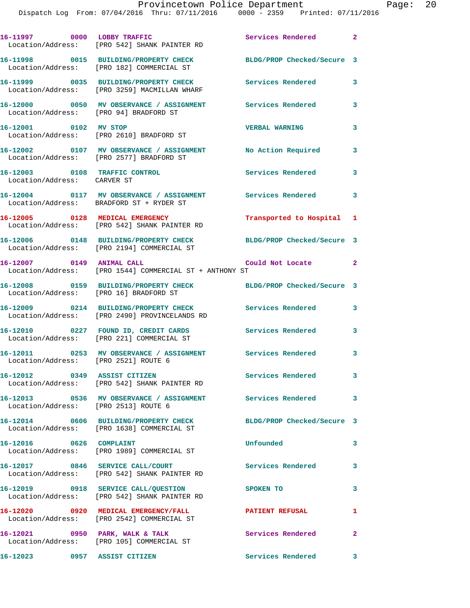| 16-11997 0000 LOBBY TRAFFIC                                  | Location/Address: [PRO 542] SHANK PAINTER RD                                                               | Services Rendered 2        |              |
|--------------------------------------------------------------|------------------------------------------------------------------------------------------------------------|----------------------------|--------------|
|                                                              | 16-11998 0015 BUILDING/PROPERTY CHECK<br>Location/Address: [PRO 182] COMMERCIAL ST                         | BLDG/PROP Checked/Secure 3 |              |
|                                                              | 16-11999 0035 BUILDING/PROPERTY CHECK<br>Location/Address: [PRO 3259] MACMILLAN WHARF                      | Services Rendered          | $\mathbf{3}$ |
|                                                              | 16-12000 0050 MV OBSERVANCE / ASSIGNMENT Services Rendered<br>Location/Address: [PRO 94] BRADFORD ST       |                            | 3            |
| 16-12001 0102 MV STOP                                        | Location/Address: [PRO 2610] BRADFORD ST                                                                   | <b>VERBAL WARNING</b>      | 3            |
|                                                              | 16-12002 0107 MV OBSERVANCE / ASSIGNMENT No Action Required<br>Location/Address: [PRO 2577] BRADFORD ST    |                            | 3            |
| 16-12003 0108 TRAFFIC CONTROL<br>Location/Address: CARVER ST |                                                                                                            | Services Rendered          | 3            |
|                                                              | 16-12004 0117 MV OBSERVANCE / ASSIGNMENT Services Rendered 3<br>Location/Address: BRADFORD ST + RYDER ST   |                            |              |
|                                                              | 16-12005 0128 MEDICAL EMERGENCY<br>Location/Address: [PRO 542] SHANK PAINTER RD                            | Transported to Hospital 1  |              |
|                                                              | 16-12006 0148 BUILDING/PROPERTY CHECK<br>Location/Address: [PRO 2194] COMMERCIAL ST                        | BLDG/PROP Checked/Secure 3 |              |
|                                                              | 16-12007 0149 ANIMAL CALL COUL Could Not Locate<br>Location/Address: [PRO 1544] COMMERCIAL ST + ANTHONY ST |                            | $\mathbf{2}$ |
|                                                              | 16-12008 0159 BUILDING/PROPERTY CHECK BLDG/PROP Checked/Secure 3<br>Location/Address: [PRO 16] BRADFORD ST |                            |              |
|                                                              | 16-12009 0214 BUILDING/PROPERTY CHECK<br>Location/Address: [PRO 2490] PROVINCELANDS RD                     | <b>Services Rendered</b>   | 3            |
|                                                              | 16-12010 0227 FOUND ID, CREDIT CARDS<br>Location/Address: [PRO 221] COMMERCIAL ST                          | Services Rendered          | $\mathbf{3}$ |
| Location/Address: [PRO 2521] ROUTE 6                         | 16-12011 0253 MV OBSERVANCE / ASSIGNMENT Services Rendered 3                                               |                            |              |
|                                                              | 16-12012 0349 ASSIST CITIZEN<br>Location/Address: [PRO 542] SHANK PAINTER RD                               | <b>Services Rendered</b>   |              |
| Location/Address: [PRO 2513] ROUTE 6                         | 16-12013 0536 MV OBSERVANCE / ASSIGNMENT Services Rendered 3                                               |                            |              |
|                                                              | 16-12014 0606 BUILDING/PROPERTY CHECK<br>Location/Address: [PRO 1638] COMMERCIAL ST                        | BLDG/PROP Checked/Secure 3 |              |
| 16-12016 0626 COMPLAINT                                      | Location/Address: [PRO 1989] COMMERCIAL ST                                                                 | Unfounded                  | 3            |
|                                                              | 16-12017 0846 SERVICE CALL/COURT<br>Location/Address: [PRO 542] SHANK PAINTER RD                           | <b>Services Rendered</b>   | 3            |
|                                                              | 16-12019 0918 SERVICE CALL/QUESTION SPOKEN TO<br>Location/Address: [PRO 542] SHANK PAINTER RD              |                            | 3            |
|                                                              | 16-12020 0920 MEDICAL EMERGENCY/FALL<br>Location/Address: [PRO 2542] COMMERCIAL ST                         | <b>PATIENT REFUSAL</b>     | $\mathbf{1}$ |
|                                                              | 16-12021 0950 PARK, WALK & TALK<br>Location/Address: [PRO 105] COMMERCIAL ST                               | <b>Services Rendered</b>   | $\mathbf{2}$ |
| 16-12023 0957 ASSIST CITIZEN                                 |                                                                                                            | Services Rendered 3        |              |